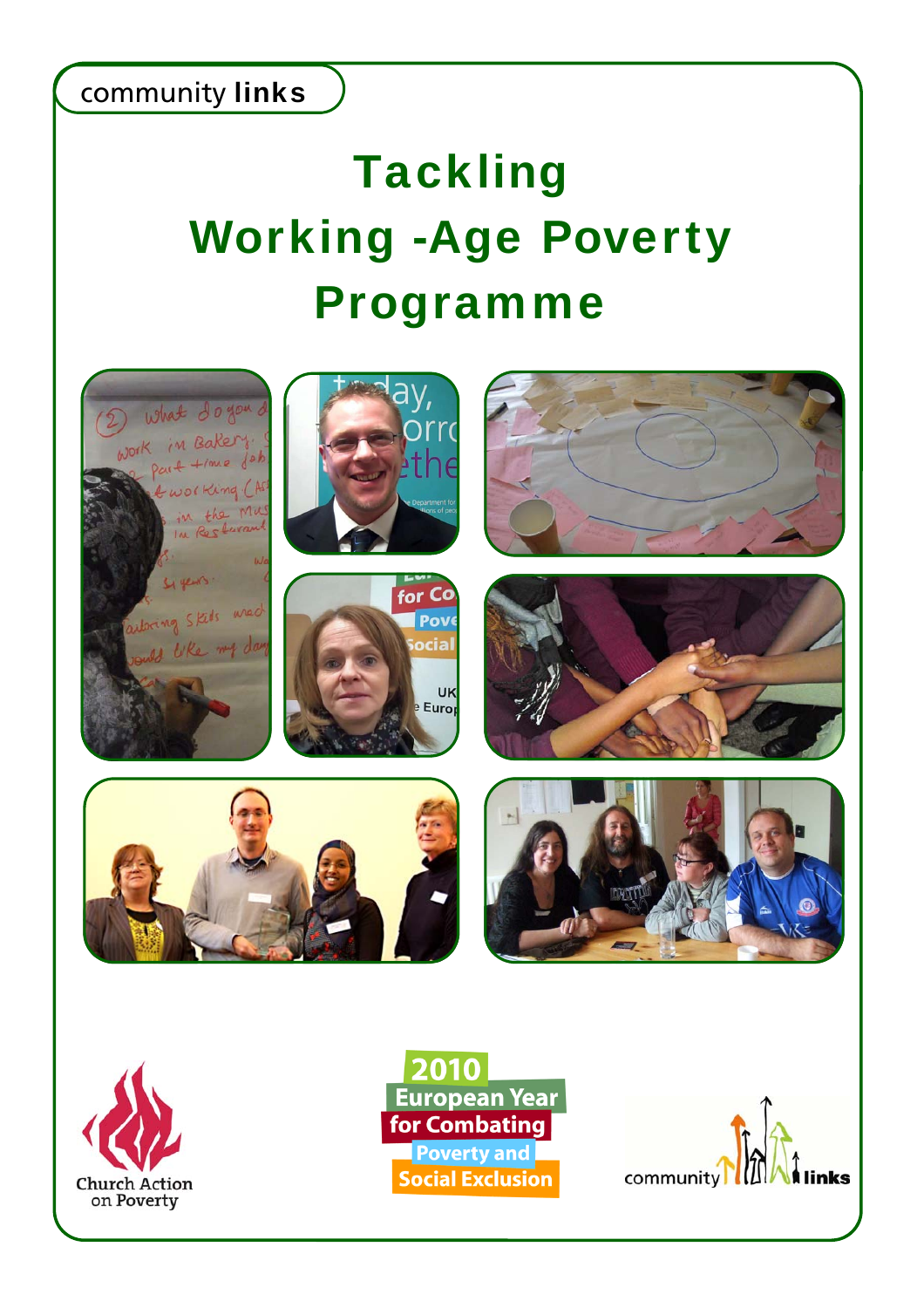# **Tackling** Working -Age Poverty Programme





European Year **for Combating** Poverty and **Social Exclusion** 

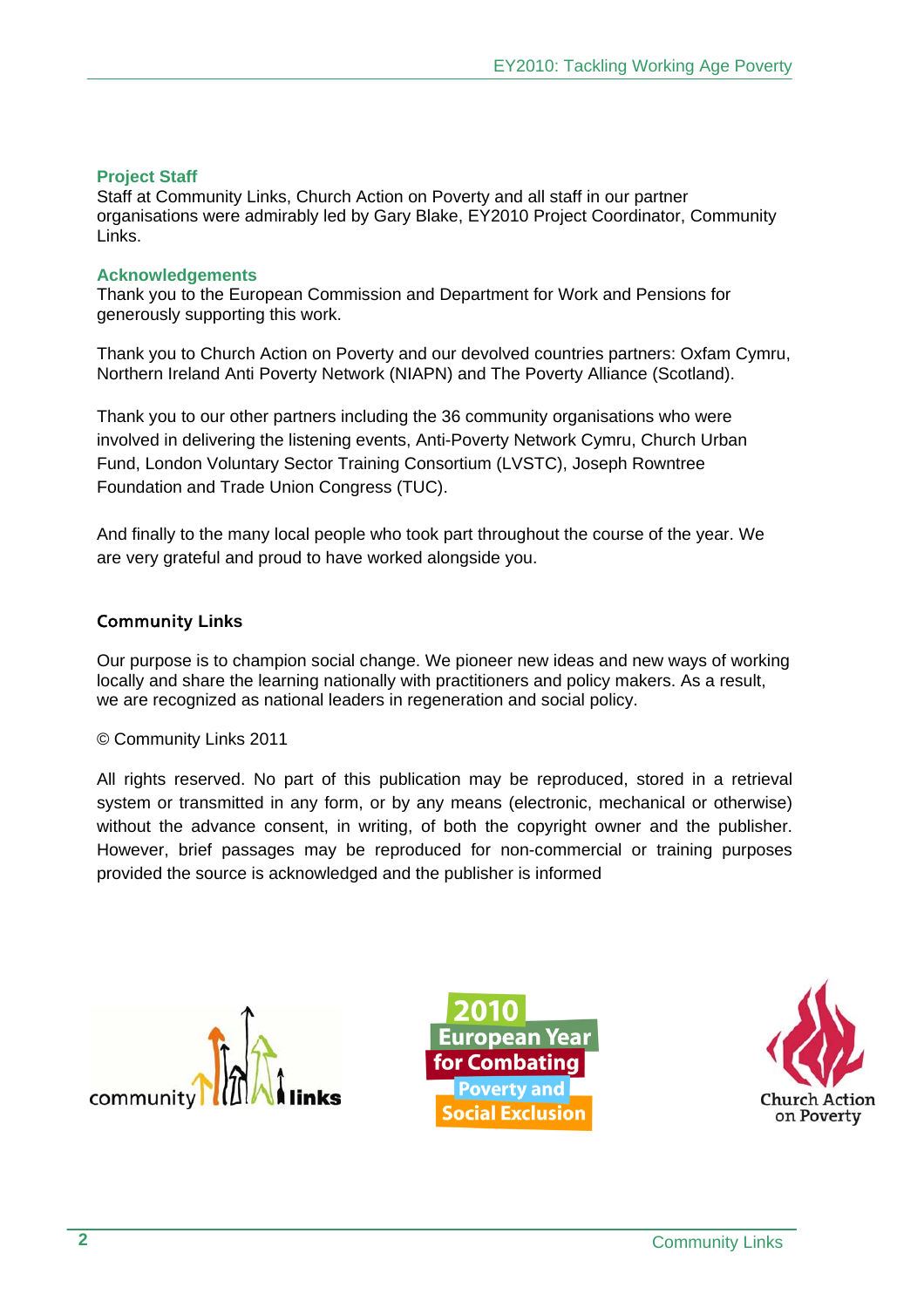# **Project Staff**

Staff at Community Links, Church Action on Poverty and all staff in our partner organisations were admirably led by Gary Blake, EY2010 Project Coordinator, Community Links.

#### **Acknowledgements**

Thank you to the European Commission and Department for Work and Pensions for generously supporting this work.

Thank you to Church Action on Poverty and our devolved countries partners: Oxfam Cymru, Northern Ireland Anti Poverty Network (NIAPN) and The Poverty Alliance (Scotland).

Thank you to our other partners including the 36 community organisations who were involved in delivering the listening events, Anti-Poverty Network Cymru, Church Urban Fund, London Voluntary Sector Training Consortium (LVSTC), Joseph Rowntree Foundation and Trade Union Congress (TUC).

And finally to the many local people who took part throughout the course of the year. We are very grateful and proud to have worked alongside you.

# Community **Links**

Our purpose is to champion social change. We pioneer new ideas and new ways of working locally and share the learning nationally with practitioners and policy makers. As a result, we are recognized as national leaders in regeneration and social policy.

© Community Links 2011

All rights reserved. No part of this publication may be reproduced, stored in a retrieval system or transmitted in any form, or by any means (electronic, mechanical or otherwise) without the advance consent, in writing, of both the copyright owner and the publisher. However, brief passages may be reproduced for non-commercial or training purposes provided the source is acknowledged and the publisher is informed



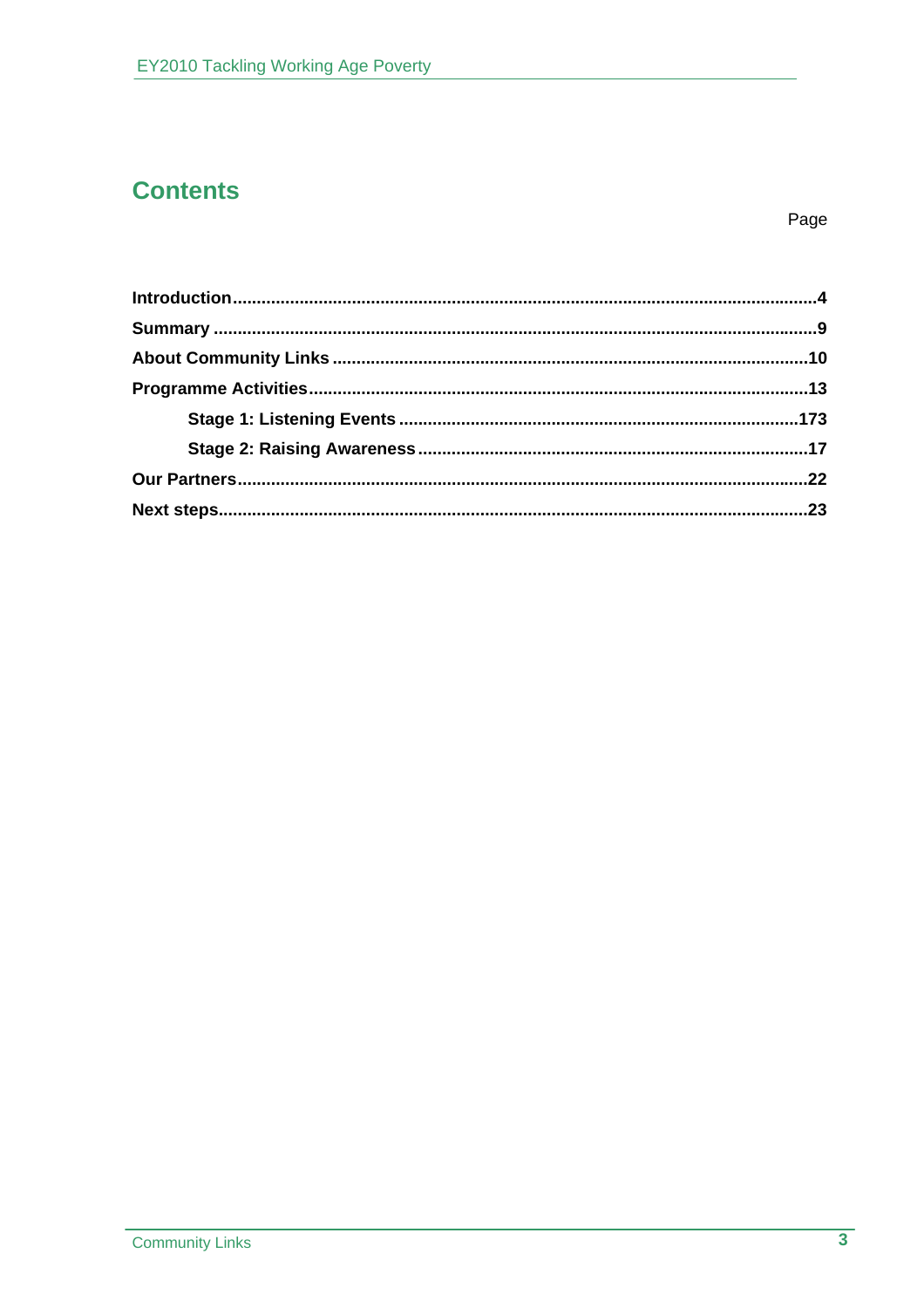# **Contents**

Page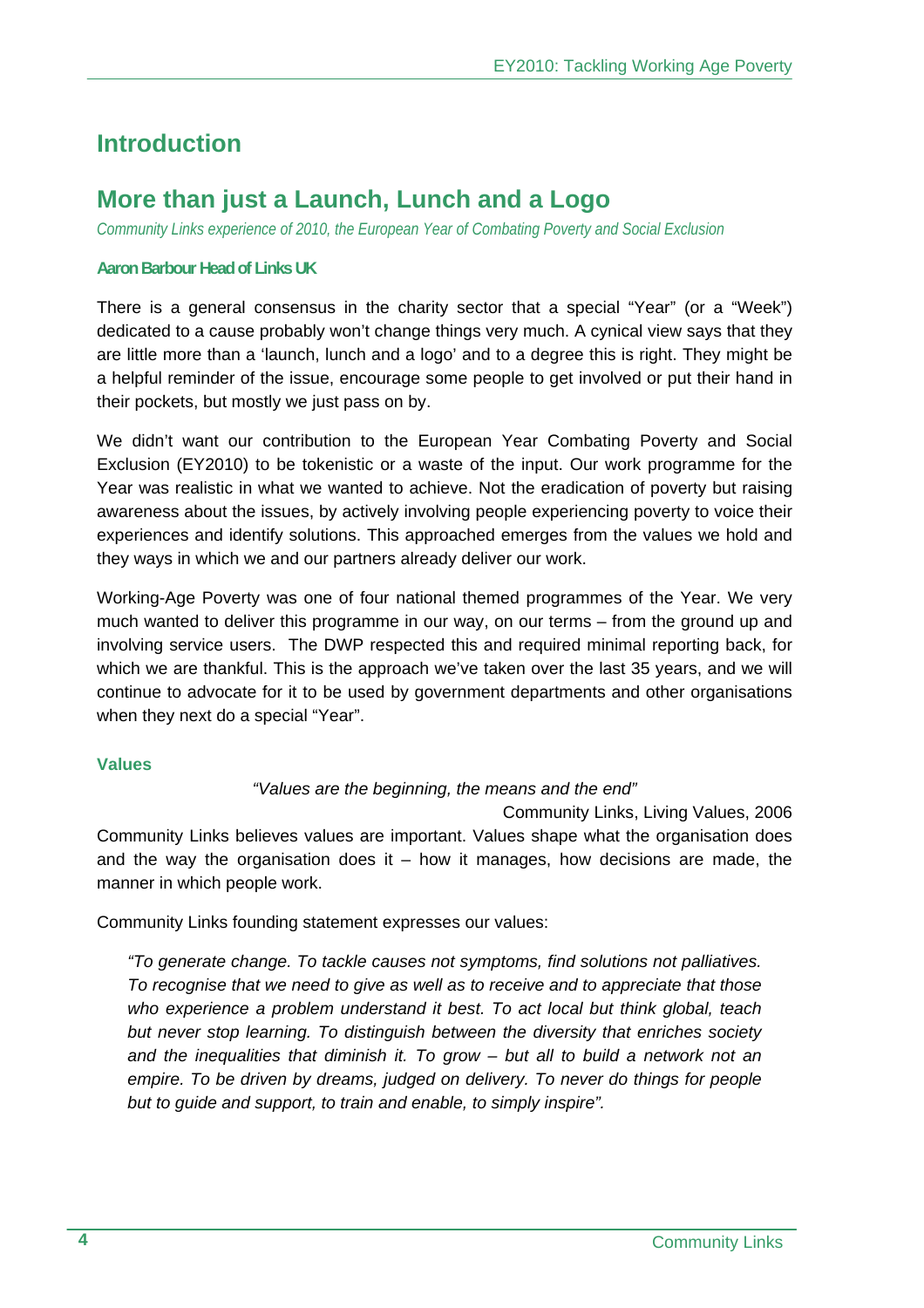# **Introduction**

# **More than just a Launch, Lunch and a Logo**

*Community Links experience of 2010, the European Year of Combating Poverty and Social Exclusion* 

#### **Aaron Barbour Head of Links UK**

There is a general consensus in the charity sector that a special "Year" (or a "Week") dedicated to a cause probably won't change things very much. A cynical view says that they are little more than a 'launch, lunch and a logo' and to a degree this is right. They might be a helpful reminder of the issue, encourage some people to get involved or put their hand in their pockets, but mostly we just pass on by.

We didn't want our contribution to the European Year Combating Poverty and Social Exclusion (EY2010) to be tokenistic or a waste of the input. Our work programme for the Year was realistic in what we wanted to achieve. Not the eradication of poverty but raising awareness about the issues, by actively involving people experiencing poverty to voice their experiences and identify solutions. This approached emerges from the values we hold and they ways in which we and our partners already deliver our work.

Working-Age Poverty was one of four national themed programmes of the Year. We very much wanted to deliver this programme in our way, on our terms – from the ground up and involving service users. The DWP respected this and required minimal reporting back, for which we are thankful. This is the approach we've taken over the last 35 years, and we will continue to advocate for it to be used by government departments and other organisations when they next do a special "Year".

#### **Values**

# *"Values are the beginning, the means and the end"*

Community Links, Living Values, 2006 Community Links believes values are important. Values shape what the organisation does and the way the organisation does it  $-$  how it manages, how decisions are made, the manner in which people work.

Community Links founding statement expresses our values:

*"To generate change. To tackle causes not symptoms, find solutions not palliatives. To recognise that we need to give as well as to receive and to appreciate that those*  who experience a problem understand it best. To act local but think global, teach *but never stop learning. To distinguish between the diversity that enriches society and the inequalities that diminish it. To grow – but all to build a network not an empire. To be driven by dreams, judged on delivery. To never do things for people but to guide and support, to train and enable, to simply inspire".*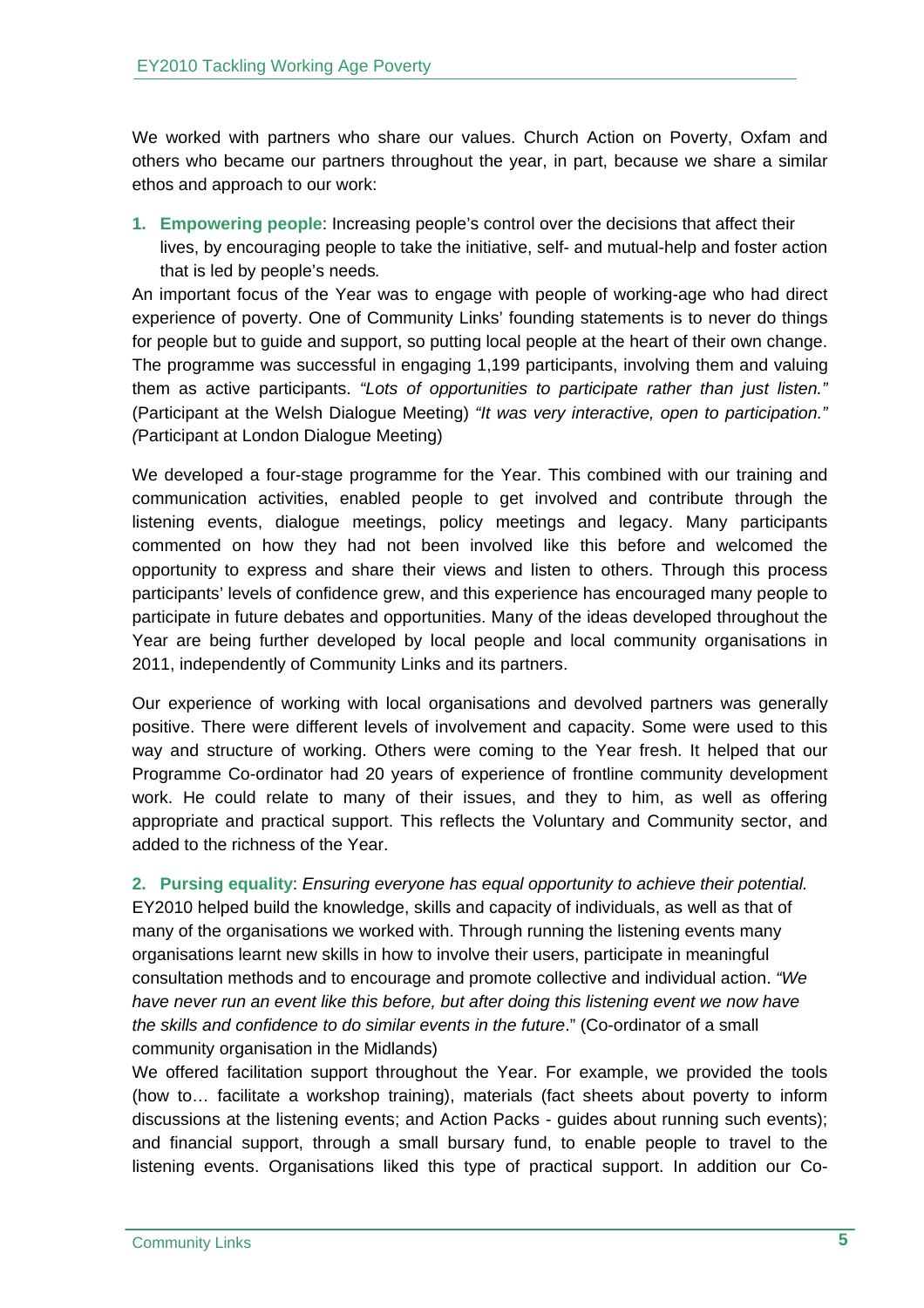We worked with partners who share our values. Church Action on Poverty, Oxfam and others who became our partners throughout the year, in part, because we share a similar ethos and approach to our work:

**1. Empowering people**: Increasing people's control over the decisions that affect their lives, by encouraging people to take the initiative, self- and mutual-help and foster action that is led by people's needs*.* 

An important focus of the Year was to engage with people of working-age who had direct experience of poverty. One of Community Links' founding statements is to never do things for people but to guide and support, so putting local people at the heart of their own change. The programme was successful in engaging 1,199 participants, involving them and valuing them as active participants. *"Lots of opportunities to participate rather than just listen."*  (Participant at the Welsh Dialogue Meeting) *"It was very interactive, open to participation." (*Participant at London Dialogue Meeting)

We developed a four-stage programme for the Year. This combined with our training and communication activities, enabled people to get involved and contribute through the listening events, dialogue meetings, policy meetings and legacy. Many participants commented on how they had not been involved like this before and welcomed the opportunity to express and share their views and listen to others. Through this process participants' levels of confidence grew, and this experience has encouraged many people to participate in future debates and opportunities. Many of the ideas developed throughout the Year are being further developed by local people and local community organisations in 2011, independently of Community Links and its partners.

Our experience of working with local organisations and devolved partners was generally positive. There were different levels of involvement and capacity. Some were used to this way and structure of working. Others were coming to the Year fresh. It helped that our Programme Co-ordinator had 20 years of experience of frontline community development work. He could relate to many of their issues, and they to him, as well as offering appropriate and practical support. This reflects the Voluntary and Community sector, and added to the richness of the Year.

**2. Pursing equality**: *Ensuring everyone has equal opportunity to achieve their potential.*  EY2010 helped build the knowledge, skills and capacity of individuals, as well as that of many of the organisations we worked with. Through running the listening events many organisations learnt new skills in how to involve their users, participate in meaningful consultation methods and to encourage and promote collective and individual action. *"We*  have never run an event like this before, but after doing this listening event we now have *the skills and confidence to do similar events in the future*." (Co-ordinator of a small community organisation in the Midlands)

We offered facilitation support throughout the Year. For example, we provided the tools (how to… facilitate a workshop training), materials (fact sheets about poverty to inform discussions at the listening events; and Action Packs - guides about running such events); and financial support, through a small bursary fund, to enable people to travel to the listening events. Organisations liked this type of practical support. In addition our Co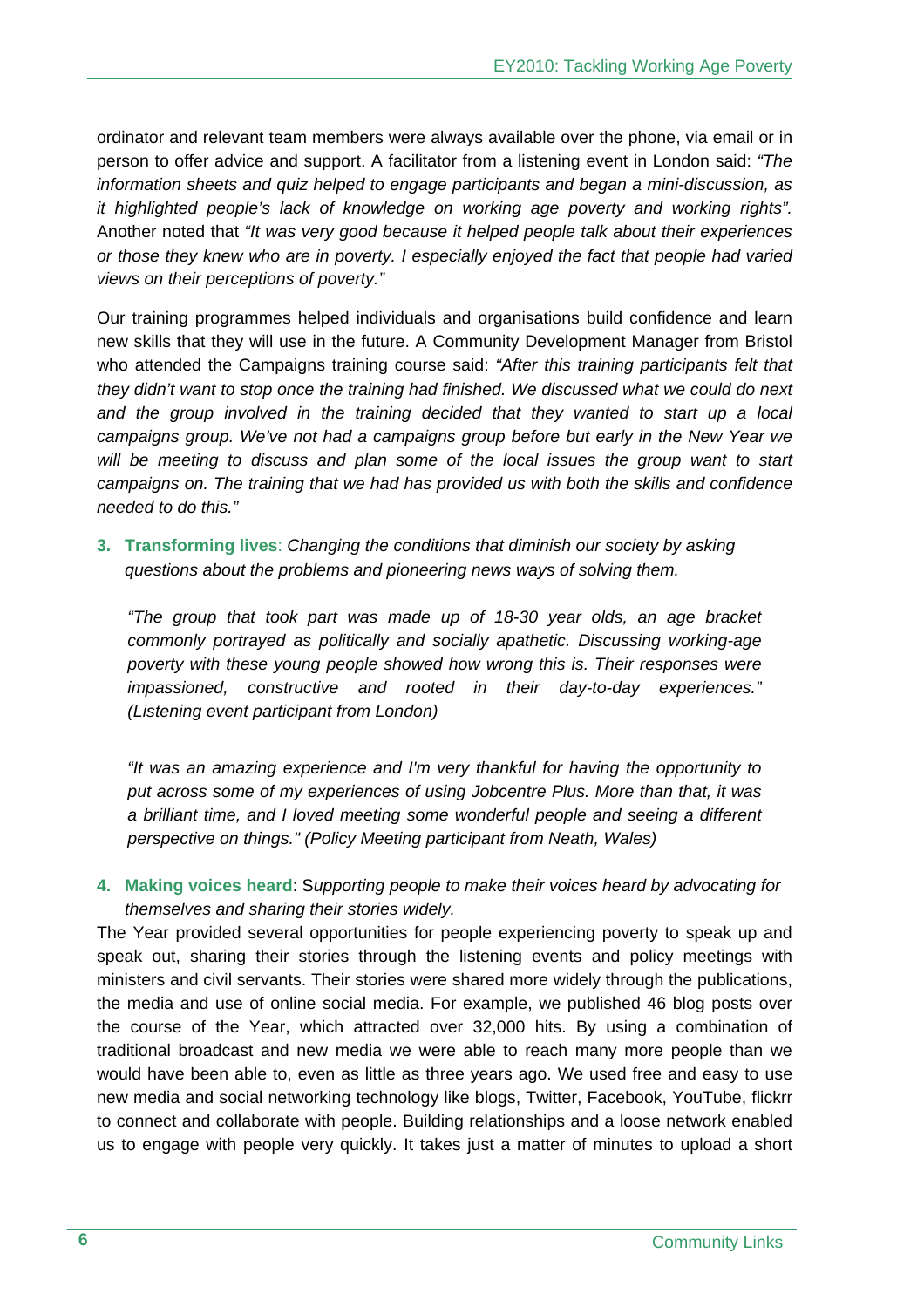ordinator and relevant team members were always available over the phone, via email or in person to offer advice and support. A facilitator from a listening event in London said: *"The information sheets and quiz helped to engage participants and began a mini-discussion, as it highlighted people's lack of knowledge on working age poverty and working rights".* Another noted that *"It was very good because it helped people talk about their experiences or those they knew who are in poverty. I especially enjoyed the fact that people had varied views on their perceptions of poverty."*

Our training programmes helped individuals and organisations build confidence and learn new skills that they will use in the future. A Community Development Manager from Bristol who attended the Campaigns training course said: *"After this training participants felt that they didn't want to stop once the training had finished. We discussed what we could do next and the group involved in the training decided that they wanted to start up a local campaigns group. We've not had a campaigns group before but early in the New Year we*  will be meeting to discuss and plan some of the local issues the group want to start *campaigns on. The training that we had has provided us with both the skills and confidence needed to do this."*

**3. Transforming lives**: *Changing the conditions that diminish our society by asking questions about the problems and pioneering news ways of solving them.* 

*"The group that took part was made up of 18-30 year olds, an age bracket commonly portrayed as politically and socially apathetic. Discussing working-age poverty with these young people showed how wrong this is. Their responses were impassioned, constructive and rooted in their day-to-day experiences." (Listening event participant from London)* 

*"It was an amazing experience and I'm very thankful for having the opportunity to put across some of my experiences of using Jobcentre Plus. More than that, it was a brilliant time, and I loved meeting some wonderful people and seeing a different perspective on things." (Policy Meeting participant from Neath, Wales)* 

**4. Making voices heard**: S*upporting people to make their voices heard by advocating for themselves and sharing their stories widely.* 

The Year provided several opportunities for people experiencing poverty to speak up and speak out, sharing their stories through the listening events and policy meetings with ministers and civil servants. Their stories were shared more widely through the publications, the media and use of online social media. For example, we published 46 blog posts over the course of the Year, which attracted over 32,000 hits. By using a combination of traditional broadcast and new media we were able to reach many more people than we would have been able to, even as little as three years ago. We used free and easy to use new media and social networking technology like blogs, Twitter, Facebook, YouTube, flickrr to connect and collaborate with people. Building relationships and a loose network enabled us to engage with people very quickly. It takes just a matter of minutes to upload a short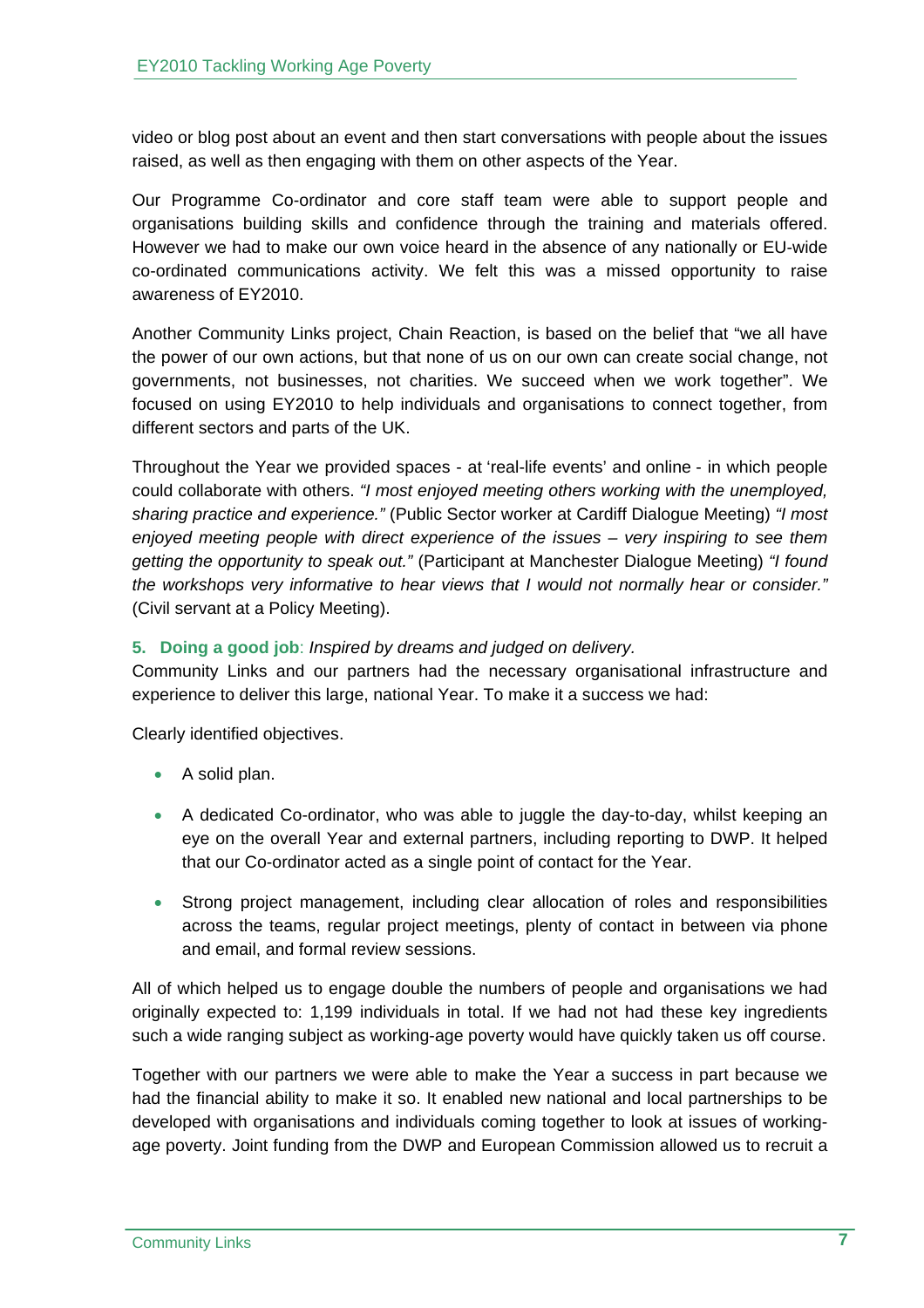video or blog post about an event and then start conversations with people about the issues raised, as well as then engaging with them on other aspects of the Year.

Our Programme Co-ordinator and core staff team were able to support people and organisations building skills and confidence through the training and materials offered. However we had to make our own voice heard in the absence of any nationally or EU-wide co-ordinated communications activity. We felt this was a missed opportunity to raise awareness of EY2010.

Another Community Links project, Chain Reaction, is based on the belief that "we all have the power of our own actions, but that none of us on our own can create social change, not governments, not businesses, not charities. We succeed when we work together". We focused on using EY2010 to help individuals and organisations to connect together, from different sectors and parts of the UK.

Throughout the Year we provided spaces - at 'real-life events' and online - in which people could collaborate with others. *"I most enjoyed meeting others working with the unemployed, sharing practice and experience."* (Public Sector worker at Cardiff Dialogue Meeting) *"I most enjoyed meeting people with direct experience of the issues – very inspiring to see them getting the opportunity to speak out."* (Participant at Manchester Dialogue Meeting) *"I found the workshops very informative to hear views that I would not normally hear or consider."* (Civil servant at a Policy Meeting).

# **5. Doing a good job**: *Inspired by dreams and judged on delivery.*

Community Links and our partners had the necessary organisational infrastructure and experience to deliver this large, national Year. To make it a success we had:

Clearly identified objectives.

- A solid plan.
- A dedicated Co-ordinator, who was able to juggle the day-to-day, whilst keeping an eye on the overall Year and external partners, including reporting to DWP. It helped that our Co-ordinator acted as a single point of contact for the Year.
- Strong project management, including clear allocation of roles and responsibilities across the teams, regular project meetings, plenty of contact in between via phone and email, and formal review sessions.

All of which helped us to engage double the numbers of people and organisations we had originally expected to: 1,199 individuals in total. If we had not had these key ingredients such a wide ranging subject as working-age poverty would have quickly taken us off course.

Together with our partners we were able to make the Year a success in part because we had the financial ability to make it so. It enabled new national and local partnerships to be developed with organisations and individuals coming together to look at issues of workingage poverty. Joint funding from the DWP and European Commission allowed us to recruit a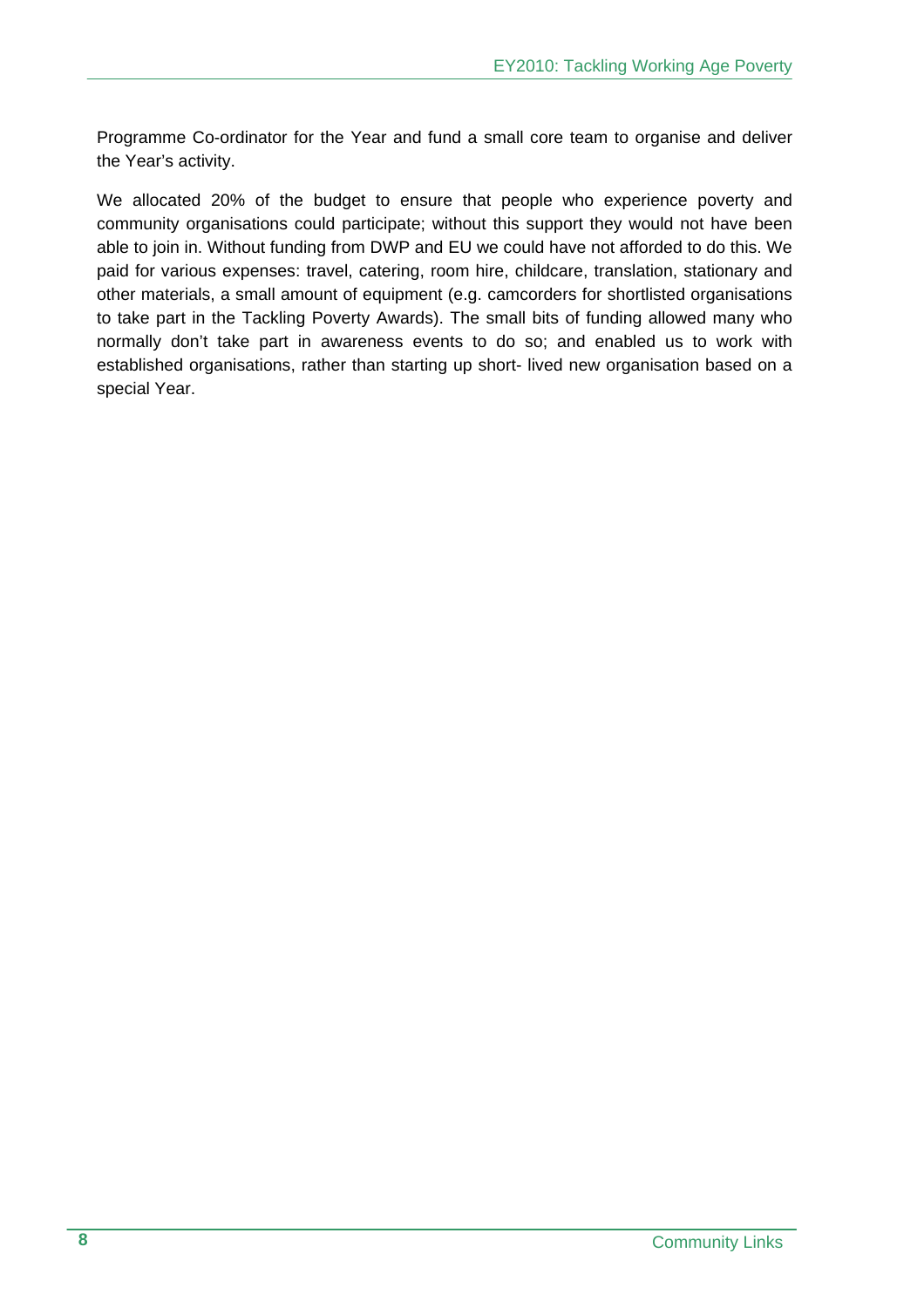Programme Co-ordinator for the Year and fund a small core team to organise and deliver the Year's activity.

We allocated 20% of the budget to ensure that people who experience poverty and community organisations could participate; without this support they would not have been able to join in. Without funding from DWP and EU we could have not afforded to do this. We paid for various expenses: travel, catering, room hire, childcare, translation, stationary and other materials, a small amount of equipment (e.g. camcorders for shortlisted organisations to take part in the Tackling Poverty Awards). The small bits of funding allowed many who normally don't take part in awareness events to do so; and enabled us to work with established organisations, rather than starting up short- lived new organisation based on a special Year.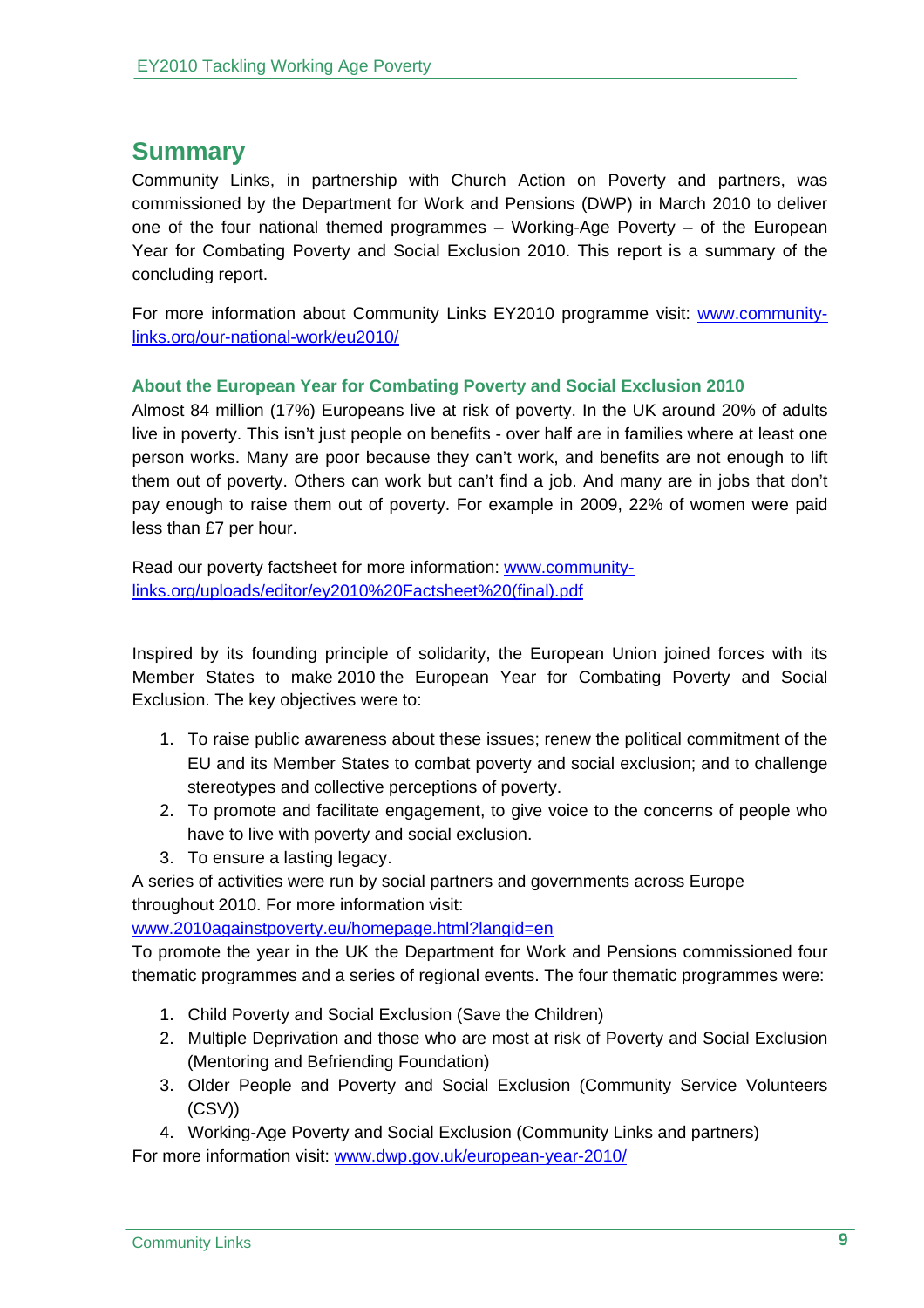# **Summary**

Community Links, in partnership with Church Action on Poverty and partners, was commissioned by the Department for Work and Pensions (DWP) in March 2010 to deliver one of the four national themed programmes – Working-Age Poverty – of the European Year for Combating Poverty and Social Exclusion 2010. This report is a summary of the concluding report.

For more information about Community Links EY2010 programme visit: www.communitylinks.org/our-national-work/eu2010/

# **About the European Year for Combating Poverty and Social Exclusion 2010**

Almost 84 million (17%) Europeans live at risk of poverty. In the UK around 20% of adults live in poverty. This isn't just people on benefits - over half are in families where at least one person works. Many are poor because they can't work, and benefits are not enough to lift them out of poverty. Others can work but can't find a job. And many are in jobs that don't pay enough to raise them out of poverty. For example in 2009, 22% of women were paid less than £7 per hour.

Read our poverty factsheet for more information: www.communitylinks.org/uploads/editor/ey2010%20Factsheet%20(final).pdf

Inspired by its founding principle of solidarity, the European Union joined forces with its Member States to make 2010 the European Year for Combating Poverty and Social Exclusion. The key objectives were to:

- 1. To raise public awareness about these issues; renew the political commitment of the EU and its Member States to combat poverty and social exclusion; and to challenge stereotypes and collective perceptions of poverty.
- 2. To promote and facilitate engagement, to give voice to the concerns of people who have to live with poverty and social exclusion.
- 3. To ensure a lasting legacy.

A series of activities were run by social partners and governments across Europe throughout 2010. For more information visit:

www.2010againstpoverty.eu/homepage.html?langid=en

To promote the year in the UK the Department for Work and Pensions commissioned four thematic programmes and a series of regional events. The four thematic programmes were:

- 1. Child Poverty and Social Exclusion (Save the Children)
- 2. Multiple Deprivation and those who are most at risk of Poverty and Social Exclusion (Mentoring and Befriending Foundation)
- 3. Older People and Poverty and Social Exclusion (Community Service Volunteers (CSV))
- 4. Working-Age Poverty and Social Exclusion (Community Links and partners)

For more information visit: www.dwp.gov.uk/european-year-2010/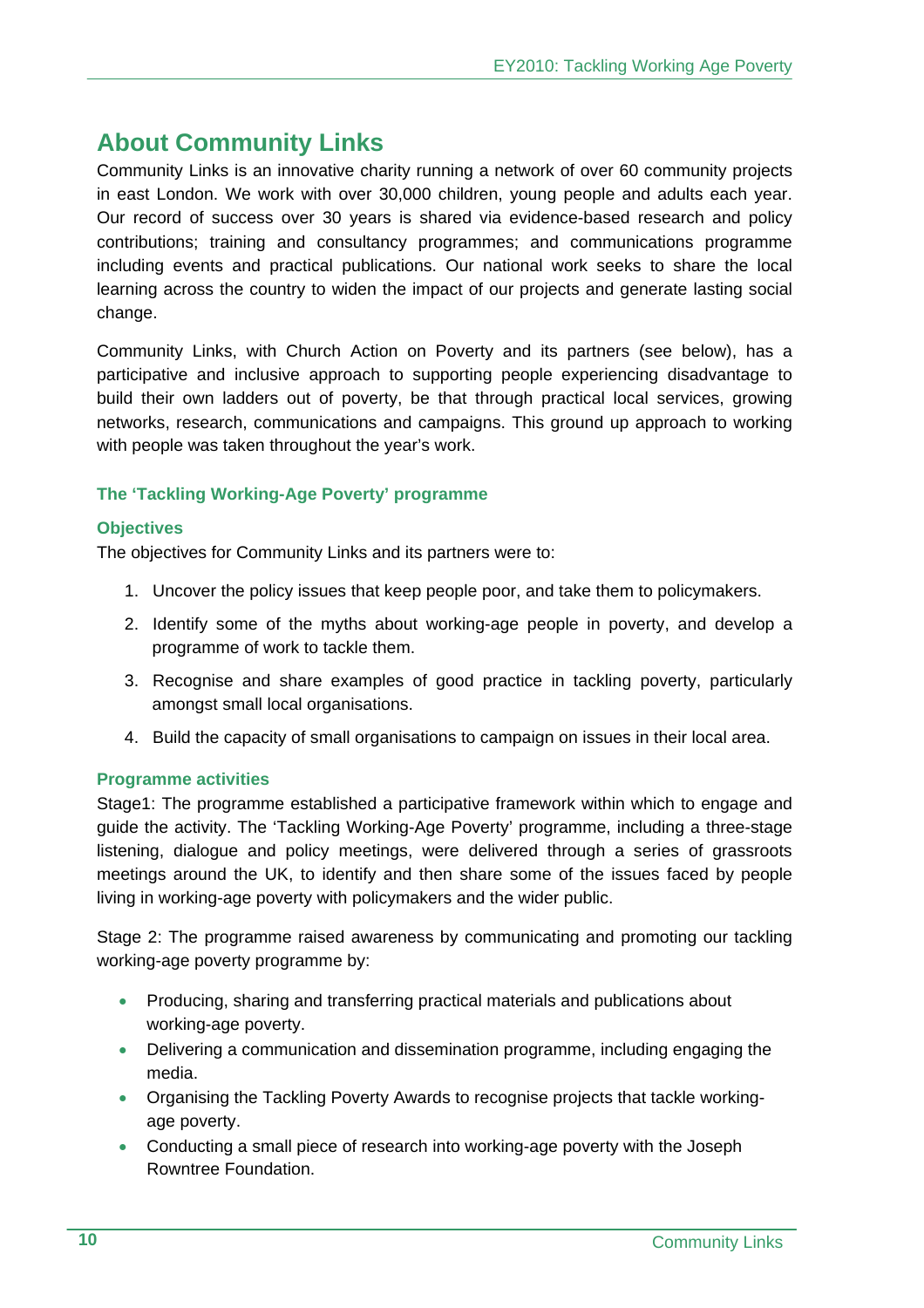# **About Community Links**

Community Links is an innovative charity running a network of over 60 community projects in east London. We work with over 30,000 children, young people and adults each year. Our record of success over 30 years is shared via evidence-based research and policy contributions; training and consultancy programmes; and communications programme including events and practical publications. Our national work seeks to share the local learning across the country to widen the impact of our projects and generate lasting social change.

Community Links, with Church Action on Poverty and its partners (see below), has a participative and inclusive approach to supporting people experiencing disadvantage to build their own ladders out of poverty, be that through practical local services, growing networks, research, communications and campaigns. This ground up approach to working with people was taken throughout the year's work.

# **The 'Tackling Working-Age Poverty' programme**

#### **Objectives**

The objectives for Community Links and its partners were to:

- 1. Uncover the policy issues that keep people poor, and take them to policymakers.
- 2. Identify some of the myths about working-age people in poverty, and develop a programme of work to tackle them.
- 3. Recognise and share examples of good practice in tackling poverty, particularly amongst small local organisations.
- 4. Build the capacity of small organisations to campaign on issues in their local area.

# **Programme activities**

Stage1: The programme established a participative framework within which to engage and guide the activity. The 'Tackling Working-Age Poverty' programme, including a three-stage listening, dialogue and policy meetings, were delivered through a series of grassroots meetings around the UK, to identify and then share some of the issues faced by people living in working-age poverty with policymakers and the wider public.

Stage 2: The programme raised awareness by communicating and promoting our tackling working-age poverty programme by:

- Producing, sharing and transferring practical materials and publications about working-age poverty.
- Delivering a communication and dissemination programme, including engaging the media.
- Organising the Tackling Poverty Awards to recognise projects that tackle workingage poverty.
- Conducting a small piece of research into working-age poverty with the Joseph Rowntree Foundation.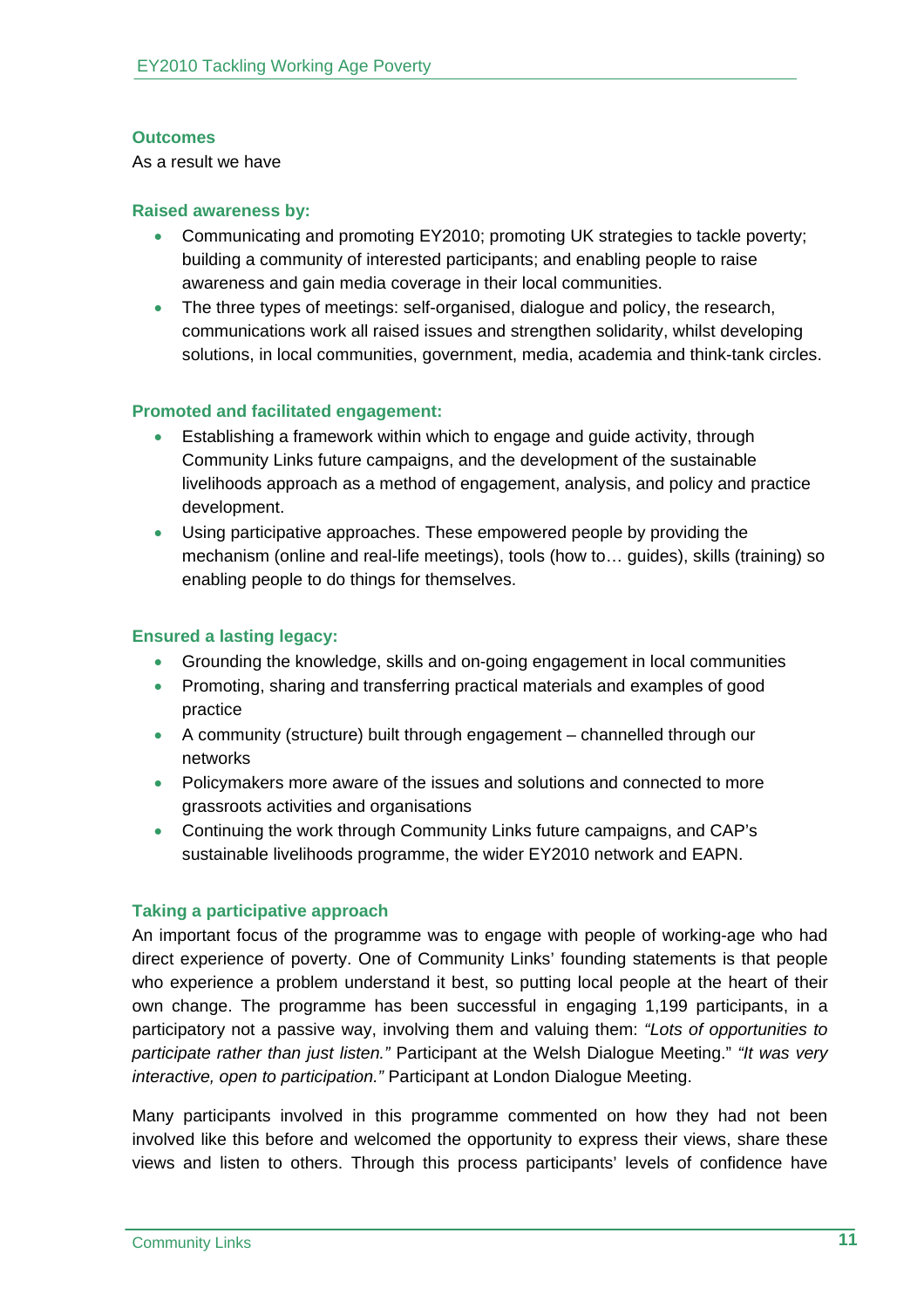#### **Outcomes**

As a result we have

#### **Raised awareness by:**

- Communicating and promoting EY2010; promoting UK strategies to tackle poverty; building a community of interested participants; and enabling people to raise awareness and gain media coverage in their local communities.
- The three types of meetings: self-organised, dialogue and policy, the research, communications work all raised issues and strengthen solidarity, whilst developing solutions, in local communities, government, media, academia and think-tank circles.

#### **Promoted and facilitated engagement:**

- Establishing a framework within which to engage and guide activity, through Community Links future campaigns, and the development of the sustainable livelihoods approach as a method of engagement, analysis, and policy and practice development.
- Using participative approaches. These empowered people by providing the mechanism (online and real-life meetings), tools (how to… guides), skills (training) so enabling people to do things for themselves.

# **Ensured a lasting legacy:**

- Grounding the knowledge, skills and on-going engagement in local communities
- Promoting, sharing and transferring practical materials and examples of good practice
- A community (structure) built through engagement channelled through our networks
- Policymakers more aware of the issues and solutions and connected to more grassroots activities and organisations
- Continuing the work through Community Links future campaigns, and CAP's sustainable livelihoods programme, the wider EY2010 network and EAPN.

# **Taking a participative approach**

An important focus of the programme was to engage with people of working-age who had direct experience of poverty. One of Community Links' founding statements is that people who experience a problem understand it best, so putting local people at the heart of their own change. The programme has been successful in engaging 1,199 participants, in a participatory not a passive way, involving them and valuing them: *"Lots of opportunities to participate rather than just listen."* Participant at the Welsh Dialogue Meeting." *"It was very interactive, open to participation."* Participant at London Dialogue Meeting.

Many participants involved in this programme commented on how they had not been involved like this before and welcomed the opportunity to express their views, share these views and listen to others. Through this process participants' levels of confidence have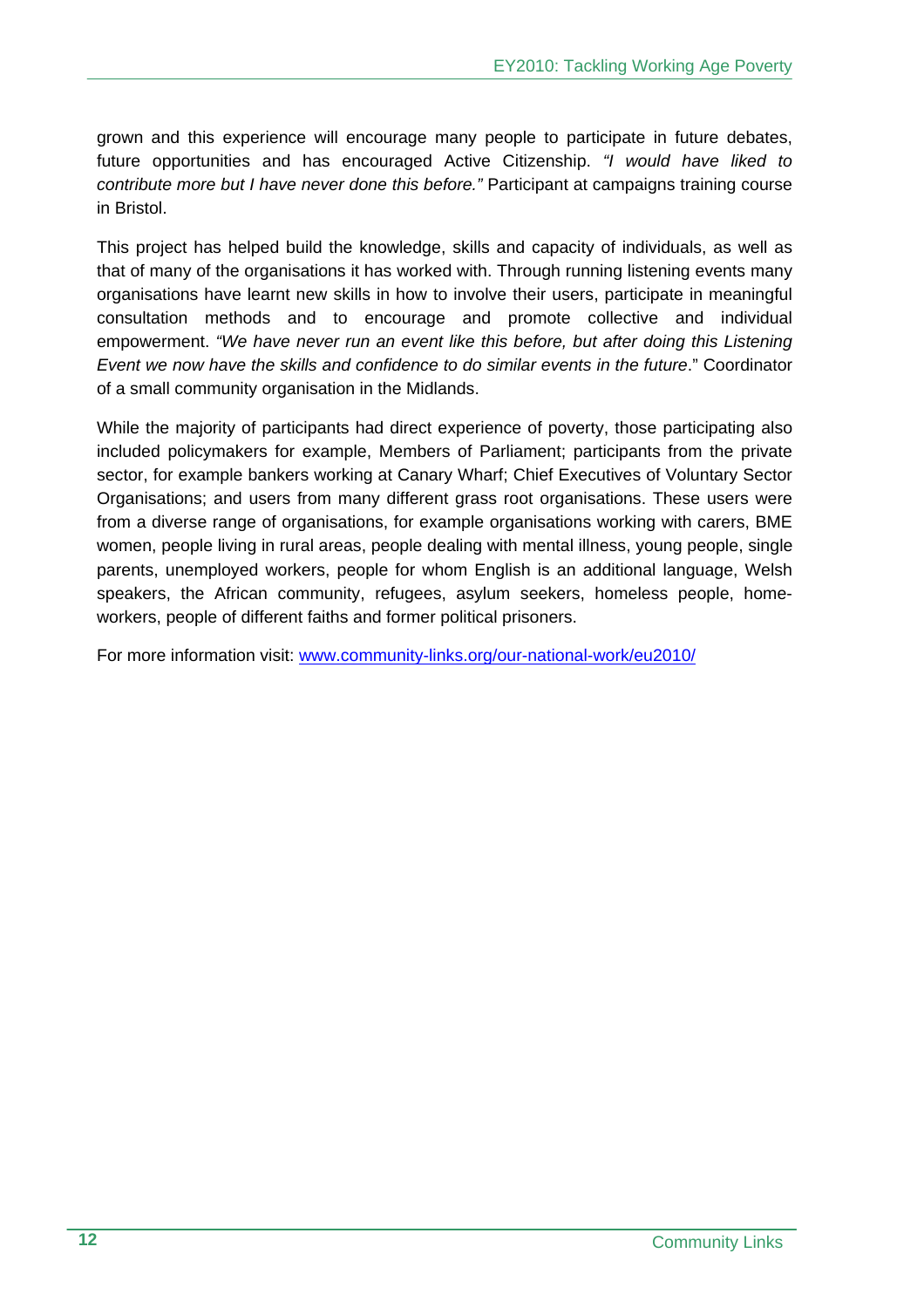grown and this experience will encourage many people to participate in future debates, future opportunities and has encouraged Active Citizenship. *"I would have liked to contribute more but I have never done this before."* Participant at campaigns training course in Bristol.

This project has helped build the knowledge, skills and capacity of individuals, as well as that of many of the organisations it has worked with. Through running listening events many organisations have learnt new skills in how to involve their users, participate in meaningful consultation methods and to encourage and promote collective and individual empowerment. *"We have never run an event like this before, but after doing this Listening Event we now have the skills and confidence to do similar events in the future*." Coordinator of a small community organisation in the Midlands.

While the majority of participants had direct experience of poverty, those participating also included policymakers for example, Members of Parliament; participants from the private sector, for example bankers working at Canary Wharf; Chief Executives of Voluntary Sector Organisations; and users from many different grass root organisations. These users were from a diverse range of organisations, for example organisations working with carers, BME women, people living in rural areas, people dealing with mental illness, young people, single parents, unemployed workers, people for whom English is an additional language, Welsh speakers, the African community, refugees, asylum seekers, homeless people, homeworkers, people of different faiths and former political prisoners.

For more information visit: www.community-links.org/our-national-work/eu2010/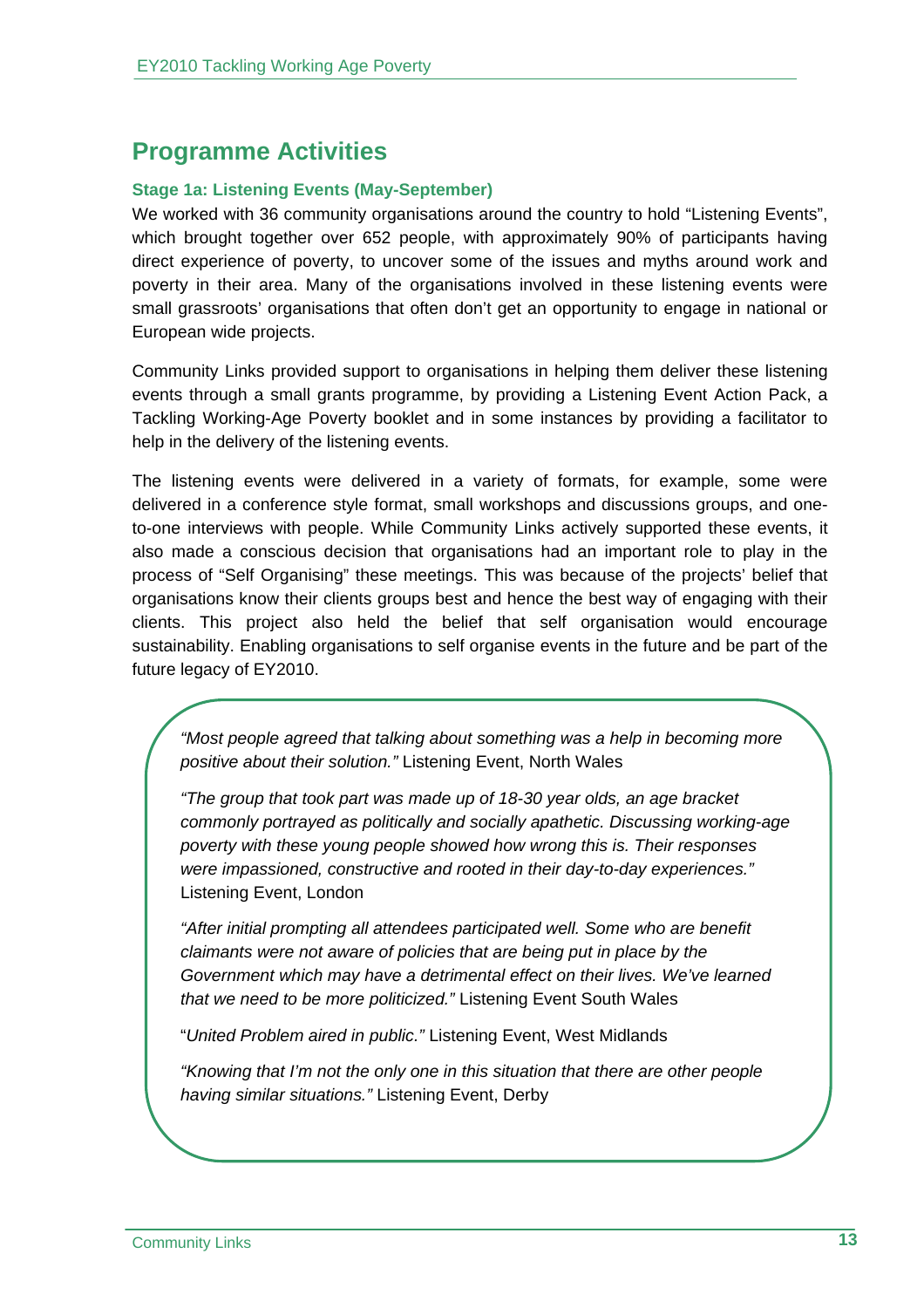# **Programme Activities**

# **Stage 1a: Listening Events (May-September)**

We worked with 36 community organisations around the country to hold "Listening Events", which brought together over 652 people, with approximately 90% of participants having direct experience of poverty, to uncover some of the issues and myths around work and poverty in their area. Many of the organisations involved in these listening events were small grassroots' organisations that often don't get an opportunity to engage in national or European wide projects.

Community Links provided support to organisations in helping them deliver these listening events through a small grants programme, by providing a Listening Event Action Pack, a Tackling Working-Age Poverty booklet and in some instances by providing a facilitator to help in the delivery of the listening events.

The listening events were delivered in a variety of formats, for example, some were delivered in a conference style format, small workshops and discussions groups, and oneto-one interviews with people. While Community Links actively supported these events, it also made a conscious decision that organisations had an important role to play in the process of "Self Organising" these meetings. This was because of the projects' belief that organisations know their clients groups best and hence the best way of engaging with their clients. This project also held the belief that self organisation would encourage sustainability. Enabling organisations to self organise events in the future and be part of the future legacy of EY2010.

*"Most people agreed that talking about something was a help in becoming more positive about their solution."* Listening Event, North Wales

*"The group that took part was made up of 18-30 year olds, an age bracket commonly portrayed as politically and socially apathetic. Discussing working-age poverty with these young people showed how wrong this is. Their responses were impassioned, constructive and rooted in their day-to-day experiences."*  Listening Event, London

*"After initial prompting all attendees participated well. Some who are benefit claimants were not aware of policies that are being put in place by the Government which may have a detrimental effect on their lives. We've learned that we need to be more politicized."* Listening Event South Wales

"*United Problem aired in public."* Listening Event, West Midlands

*"Knowing that I'm not the only one in this situation that there are other people having similar situations."* Listening Event, Derby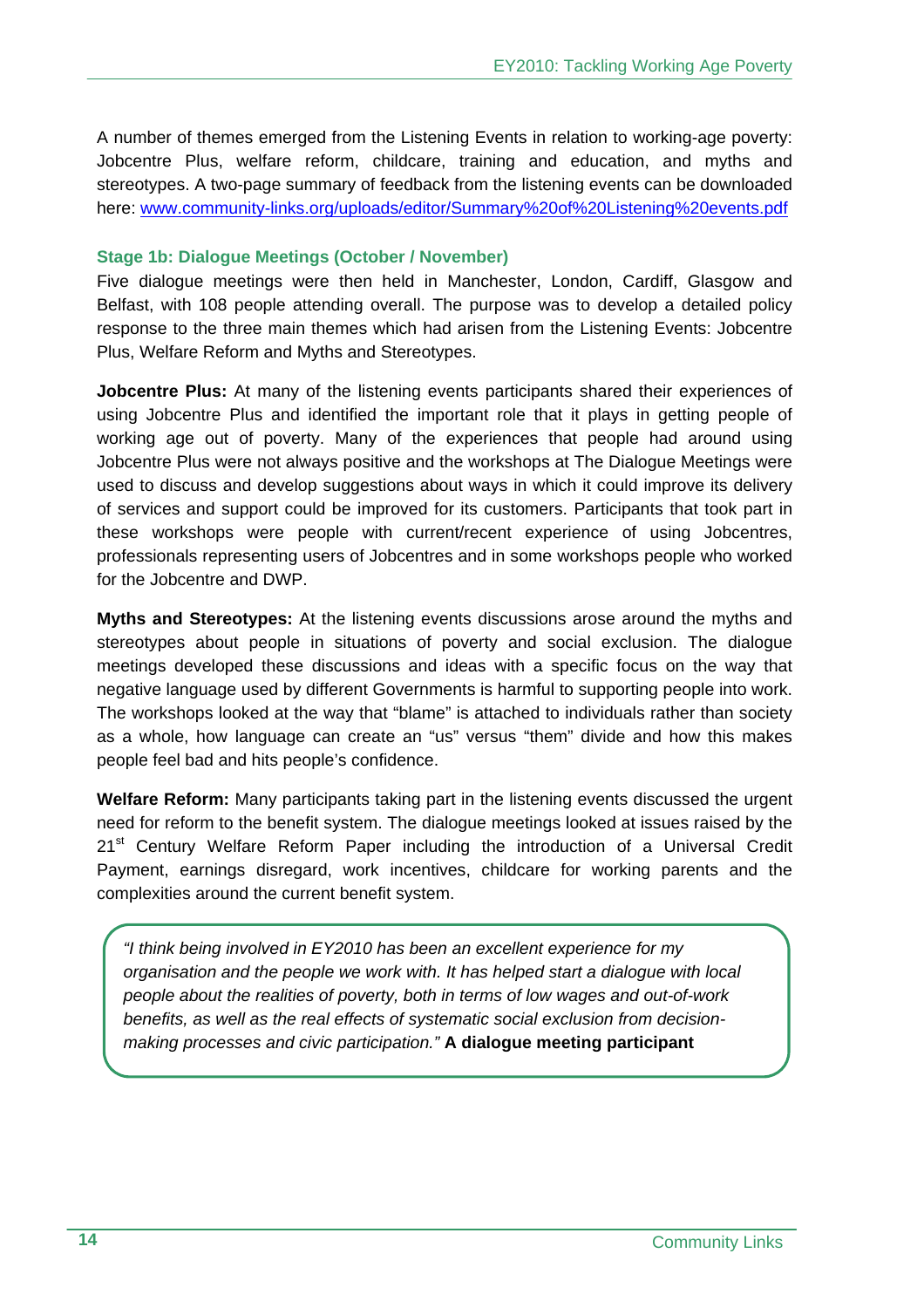A number of themes emerged from the Listening Events in relation to working-age poverty: Jobcentre Plus, welfare reform, childcare, training and education, and myths and stereotypes. A two-page summary of feedback from the listening events can be downloaded here: www.community-links.org/uploads/editor/Summary%20of%20Listening%20events.pdf

#### **Stage 1b: Dialogue Meetings (October / November)**

Five dialogue meetings were then held in Manchester, London, Cardiff, Glasgow and Belfast, with 108 people attending overall. The purpose was to develop a detailed policy response to the three main themes which had arisen from the Listening Events: Jobcentre Plus, Welfare Reform and Myths and Stereotypes.

**Jobcentre Plus:** At many of the listening events participants shared their experiences of using Jobcentre Plus and identified the important role that it plays in getting people of working age out of poverty. Many of the experiences that people had around using Jobcentre Plus were not always positive and the workshops at The Dialogue Meetings were used to discuss and develop suggestions about ways in which it could improve its delivery of services and support could be improved for its customers. Participants that took part in these workshops were people with current/recent experience of using Jobcentres, professionals representing users of Jobcentres and in some workshops people who worked for the Jobcentre and DWP.

**Myths and Stereotypes:** At the listening events discussions arose around the myths and stereotypes about people in situations of poverty and social exclusion. The dialogue meetings developed these discussions and ideas with a specific focus on the way that negative language used by different Governments is harmful to supporting people into work. The workshops looked at the way that "blame" is attached to individuals rather than society as a whole, how language can create an "us" versus "them" divide and how this makes people feel bad and hits people's confidence.

**Welfare Reform:** Many participants taking part in the listening events discussed the urgent need for reform to the benefit system. The dialogue meetings looked at issues raised by the 21<sup>st</sup> Century Welfare Reform Paper including the introduction of a Universal Credit Payment, earnings disregard, work incentives, childcare for working parents and the complexities around the current benefit system.

*"I think being involved in EY2010 has been an excellent experience for my organisation and the people we work with. It has helped start a dialogue with local people about the realities of poverty, both in terms of low wages and out-of-work benefits, as well as the real effects of systematic social exclusion from decisionmaking processes and civic participation."* **A dialogue meeting participant**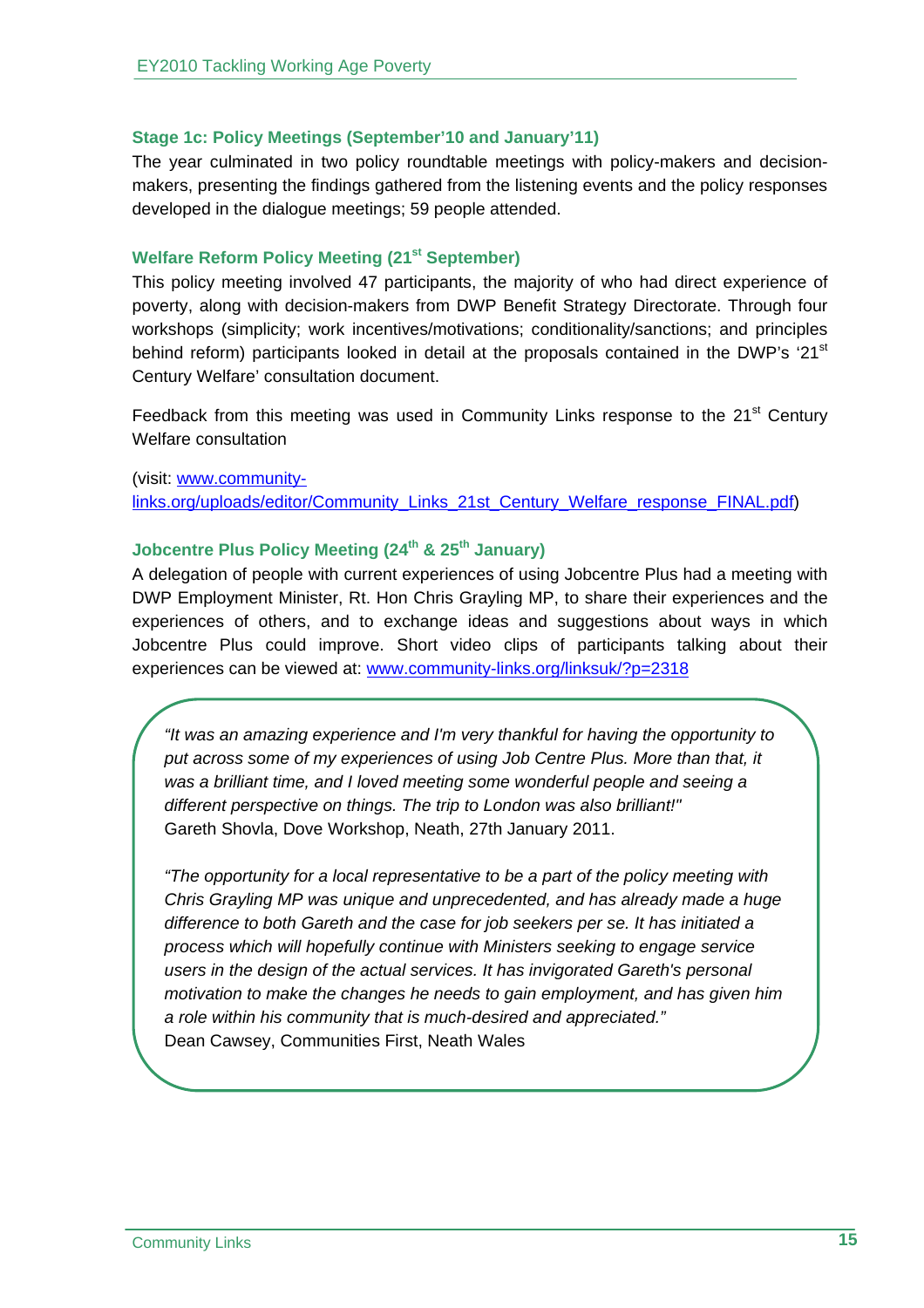#### **Stage 1c: Policy Meetings (September'10 and January'11)**

The year culminated in two policy roundtable meetings with policy-makers and decisionmakers, presenting the findings gathered from the listening events and the policy responses developed in the dialogue meetings; 59 people attended.

#### **Welfare Reform Policy Meeting (21st September)**

This policy meeting involved 47 participants, the majority of who had direct experience of poverty, along with decision-makers from DWP Benefit Strategy Directorate. Through four workshops (simplicity; work incentives/motivations; conditionality/sanctions; and principles behind reform) participants looked in detail at the proposals contained in the DWP's  $21<sup>st</sup>$ Century Welfare' consultation document.

Feedback from this meeting was used in Community Links response to the  $21<sup>st</sup>$  Century Welfare consultation

(visit: www.communitylinks.org/uploads/editor/Community\_Links\_21st\_Century\_Welfare\_response\_FINAL.pdf)

#### **Jobcentre Plus Policy Meeting (24<sup>th</sup> & 25<sup>th</sup> January)**

A delegation of people with current experiences of using Jobcentre Plus had a meeting with DWP Employment Minister, Rt. Hon Chris Grayling MP, to share their experiences and the experiences of others, and to exchange ideas and suggestions about ways in which Jobcentre Plus could improve. Short video clips of participants talking about their experiences can be viewed at: www.community-links.org/linksuk/?p=2318

*"It was an amazing experience and I'm very thankful for having the opportunity to put across some of my experiences of using Job Centre Plus. More than that, it was a brilliant time, and I loved meeting some wonderful people and seeing a different perspective on things. The trip to London was also brilliant!"* Gareth Shovla, Dove Workshop, Neath, 27th January 2011.

*"The opportunity for a local representative to be a part of the policy meeting with Chris Grayling MP was unique and unprecedented, and has already made a huge difference to both Gareth and the case for job seekers per se. It has initiated a process which will hopefully continue with Ministers seeking to engage service users in the design of the actual services. It has invigorated Gareth's personal motivation to make the changes he needs to gain employment, and has given him a role within his community that is much-desired and appreciated."*  Dean Cawsey, Communities First, Neath Wales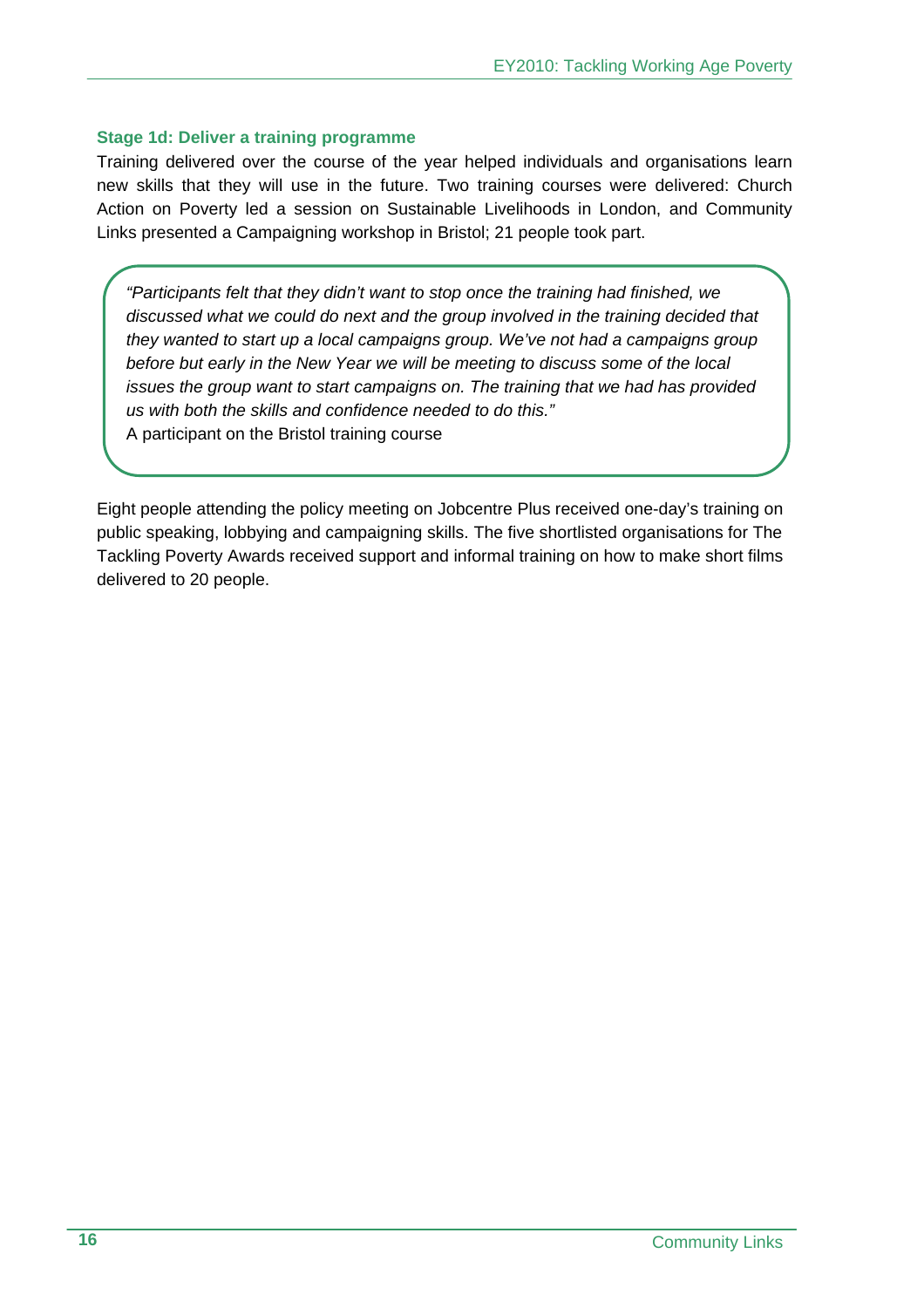#### **Stage 1d: Deliver a training programme**

Training delivered over the course of the year helped individuals and organisations learn new skills that they will use in the future. Two training courses were delivered: Church Action on Poverty led a session on Sustainable Livelihoods in London, and Community Links presented a Campaigning workshop in Bristol; 21 people took part.

*"Participants felt that they didn't want to stop once the training had finished, we discussed what we could do next and the group involved in the training decided that they wanted to start up a local campaigns group. We've not had a campaigns group before but early in the New Year we will be meeting to discuss some of the local issues the group want to start campaigns on. The training that we had has provided us with both the skills and confidence needed to do this."* 

A participant on the Bristol training course

Eight people attending the policy meeting on Jobcentre Plus received one-day's training on public speaking, lobbying and campaigning skills. The five shortlisted organisations for The Tackling Poverty Awards received support and informal training on how to make short films delivered to 20 people.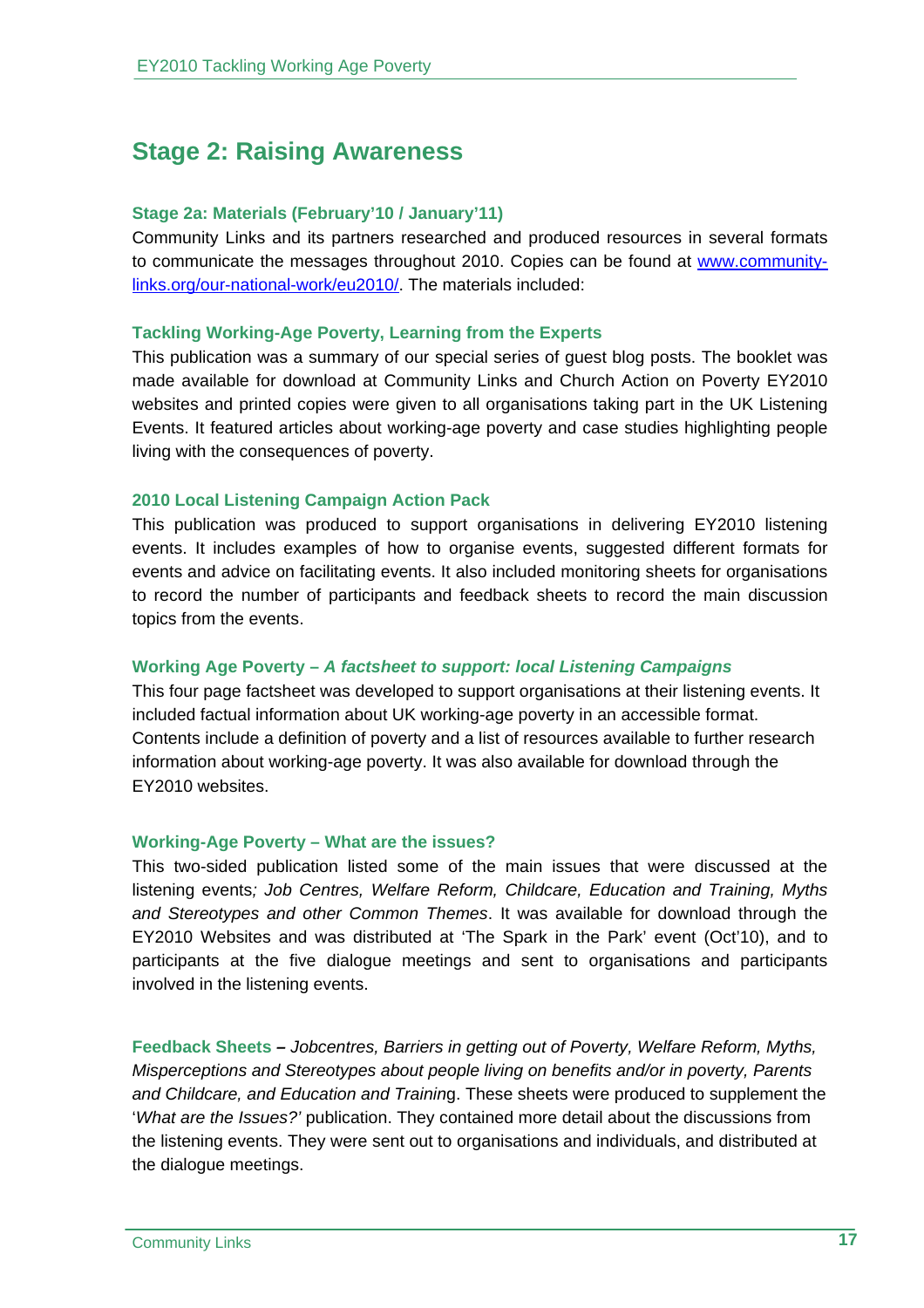# **Stage 2: Raising Awareness**

#### **Stage 2a: Materials (February'10 / January'11)**

Community Links and its partners researched and produced resources in several formats to communicate the messages throughout 2010. Copies can be found at www.communitylinks.org/our-national-work/eu2010/. The materials included:

#### **Tackling Working-Age Poverty, Learning from the Experts**

This publication was a summary of our special series of guest blog posts. The booklet was made available for download at Community Links and Church Action on Poverty EY2010 websites and printed copies were given to all organisations taking part in the UK Listening Events. It featured articles about working-age poverty and case studies highlighting people living with the consequences of poverty.

#### **2010 Local Listening Campaign Action Pack**

This publication was produced to support organisations in delivering EY2010 listening events. It includes examples of how to organise events, suggested different formats for events and advice on facilitating events. It also included monitoring sheets for organisations to record the number of participants and feedback sheets to record the main discussion topics from the events.

# **Working Age Poverty –** *A factsheet to support: local Listening Campaigns*

This four page factsheet was developed to support organisations at their listening events. It included factual information about UK working-age poverty in an accessible format. Contents include a definition of poverty and a list of resources available to further research information about working-age poverty. It was also available for download through the EY2010 websites.

#### **Working-Age Poverty – What are the issues?**

This two-sided publication listed some of the main issues that were discussed at the listening events*; Job Centres, Welfare Reform, Childcare, Education and Training, Myths and Stereotypes and other Common Themes*. It was available for download through the EY2010 Websites and was distributed at 'The Spark in the Park' event (Oct'10), and to participants at the five dialogue meetings and sent to organisations and participants involved in the listening events.

**Feedback Sheets** *– Jobcentres, Barriers in getting out of Poverty, Welfare Reform, Myths, Misperceptions and Stereotypes about people living on benefits and/or in poverty, Parents and Childcare, and Education and Trainin*g. These sheets were produced to supplement the '*What are the Issues?'* publication. They contained more detail about the discussions from the listening events. They were sent out to organisations and individuals, and distributed at the dialogue meetings.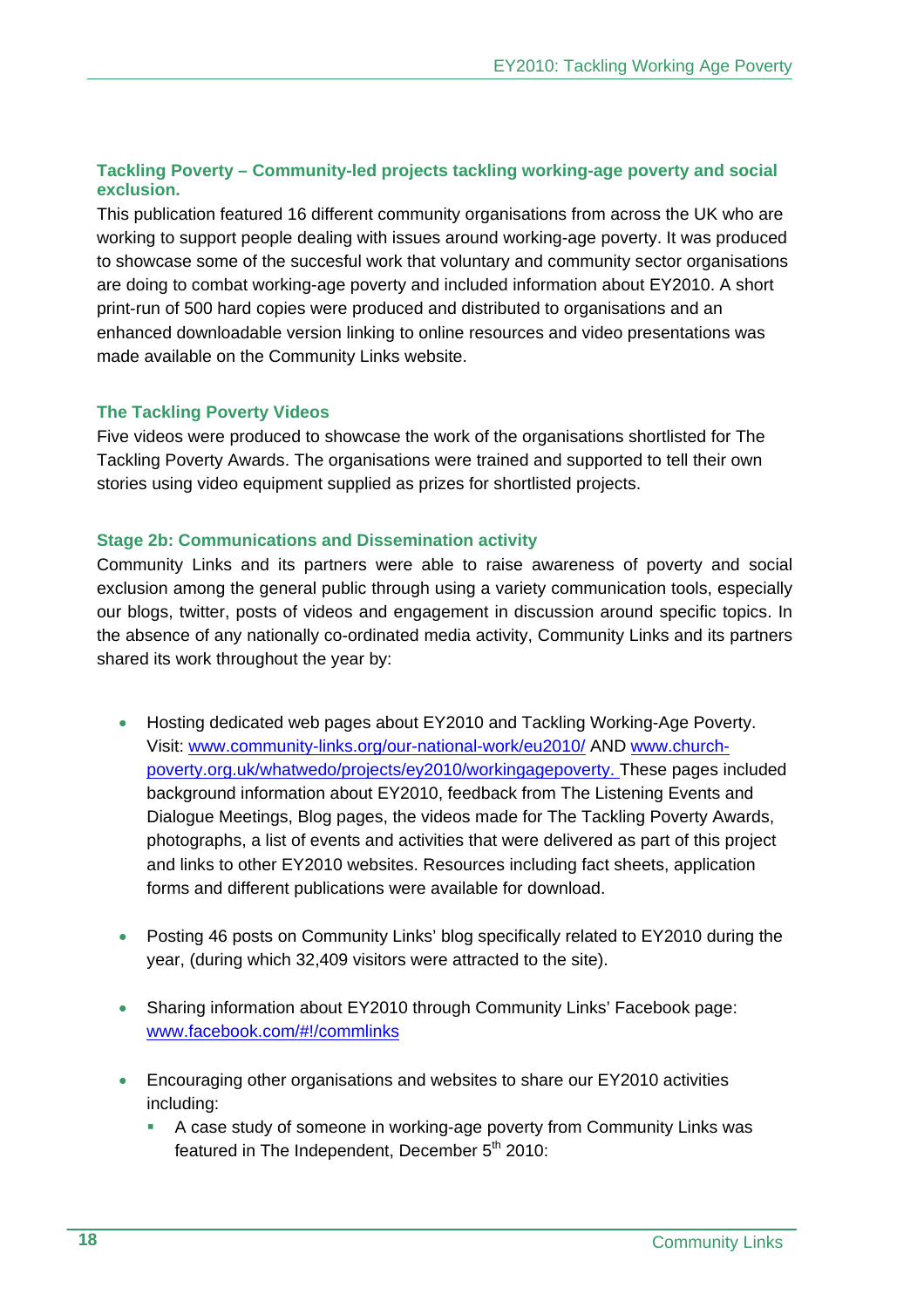# **Tackling Poverty – Community-led projects tackling working-age poverty and social exclusion.**

This publication featured 16 different community organisations from across the UK who are working to support people dealing with issues around working-age poverty. It was produced to showcase some of the succesful work that voluntary and community sector organisations are doing to combat working-age poverty and included information about EY2010. A short print-run of 500 hard copies were produced and distributed to organisations and an enhanced downloadable version linking to online resources and video presentations was made available on the Community Links website.

# **The Tackling Poverty Videos**

Five videos were produced to showcase the work of the organisations shortlisted for The Tackling Poverty Awards. The organisations were trained and supported to tell their own stories using video equipment supplied as prizes for shortlisted projects.

#### **Stage 2b: Communications and Dissemination activity**

Community Links and its partners were able to raise awareness of poverty and social exclusion among the general public through using a variety communication tools, especially our blogs, twitter, posts of videos and engagement in discussion around specific topics. In the absence of any nationally co-ordinated media activity, Community Links and its partners shared its work throughout the year by:

- Hosting dedicated web pages about EY2010 and Tackling Working-Age Poverty. Visit: www.community-links.org/our-national-work/eu2010/ AND www.churchpoverty.org.uk/whatwedo/projects/ey2010/workingagepoverty. These pages included background information about EY2010, feedback from The Listening Events and Dialogue Meetings, Blog pages, the videos made for The Tackling Poverty Awards, photographs, a list of events and activities that were delivered as part of this project and links to other EY2010 websites. Resources including fact sheets, application forms and different publications were available for download.
- Posting 46 posts on Community Links' blog specifically related to EY2010 during the year, (during which 32,409 visitors were attracted to the site).
- Sharing information about EY2010 through Community Links' Facebook page: www.facebook.com/#!/commlinks
- Encouraging other organisations and websites to share our EY2010 activities including:
	- A case study of someone in working-age poverty from Community Links was featured in The Independent, December  $5<sup>th</sup>$  2010: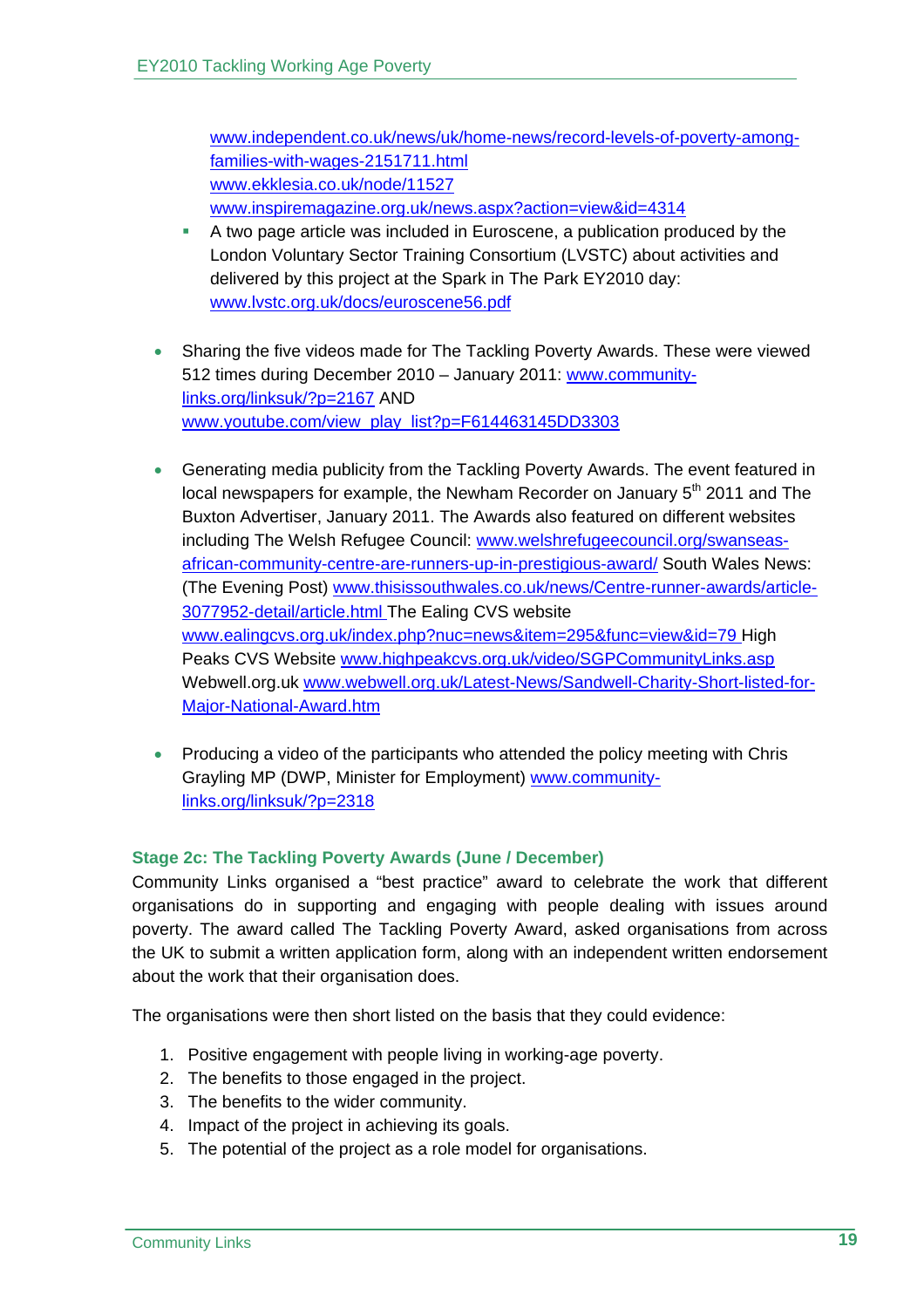www.independent.co.uk/news/uk/home-news/record-levels-of-poverty-amongfamilies-with-wages-2151711.html www.ekklesia.co.uk/node/11527 www.inspiremagazine.org.uk/news.aspx?action=view&id=4314

- A two page article was included in Euroscene, a publication produced by the London Voluntary Sector Training Consortium (LVSTC) about activities and delivered by this project at the Spark in The Park EY2010 day: www.lvstc.org.uk/docs/euroscene56.pdf
- Sharing the five videos made for The Tackling Poverty Awards. These were viewed 512 times during December 2010 – January 2011: www.communitylinks.org/linksuk/?p=2167 AND www.youtube.com/view\_play\_list?p=F614463145DD3303
- Generating media publicity from the Tackling Poverty Awards. The event featured in local newspapers for example, the Newham Recorder on January 5<sup>th</sup> 2011 and The Buxton Advertiser, January 2011. The Awards also featured on different websites including The Welsh Refugee Council: www.welshrefugeecouncil.org/swanseasafrican-community-centre-are-runners-up-in-prestigious-award/ South Wales News: (The Evening Post) www.thisissouthwales.co.uk/news/Centre-runner-awards/article-3077952-detail/article.html The Ealing CVS website www.ealingcvs.org.uk/index.php?nuc=news&item=295&func=view&id=79 High Peaks CVS Website www.highpeakcvs.org.uk/video/SGPCommunityLinks.asp Webwell.org.uk www.webwell.org.uk/Latest-News/Sandwell-Charity-Short-listed-for-Major-National-Award.htm
- Producing a video of the participants who attended the policy meeting with Chris Grayling MP (DWP, Minister for Employment) www.communitylinks.org/linksuk/?p=2318

# **Stage 2c: The Tackling Poverty Awards (June / December)**

Community Links organised a "best practice" award to celebrate the work that different organisations do in supporting and engaging with people dealing with issues around poverty. The award called The Tackling Poverty Award, asked organisations from across the UK to submit a written application form, along with an independent written endorsement about the work that their organisation does.

The organisations were then short listed on the basis that they could evidence:

- 1. Positive engagement with people living in working-age poverty.
- 2. The benefits to those engaged in the project.
- 3. The benefits to the wider community.
- 4. Impact of the project in achieving its goals.
- 5. The potential of the project as a role model for organisations.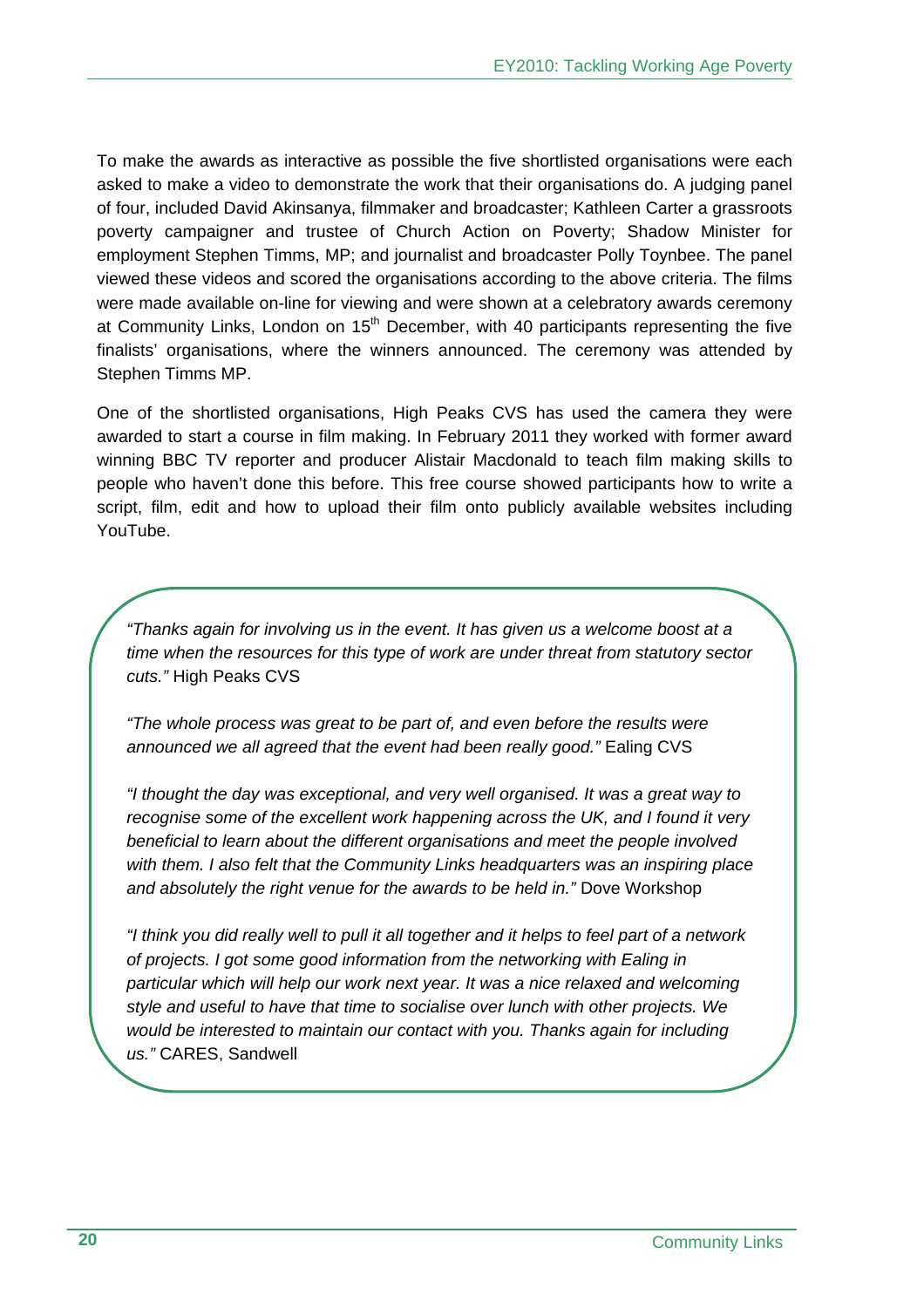To make the awards as interactive as possible the five shortlisted organisations were each asked to make a video to demonstrate the work that their organisations do. A judging panel of four, included David Akinsanya, filmmaker and broadcaster; Kathleen Carter a grassroots poverty campaigner and trustee of Church Action on Poverty; Shadow Minister for employment Stephen Timms, MP; and journalist and broadcaster Polly Toynbee. The panel viewed these videos and scored the organisations according to the above criteria. The films were made available on-line for viewing and were shown at a celebratory awards ceremony at Community Links, London on  $15<sup>th</sup>$  December, with 40 participants representing the five finalists' organisations, where the winners announced. The ceremony was attended by Stephen Timms MP.

One of the shortlisted organisations, High Peaks CVS has used the camera they were awarded to start a course in film making. In February 2011 they worked with former award winning BBC TV reporter and producer Alistair Macdonald to teach film making skills to people who haven't done this before. This free course showed participants how to write a script, film, edit and how to upload their film onto publicly available websites including YouTube.

*"Thanks again for involving us in the event. It has given us a welcome boost at a time when the resources for this type of work are under threat from statutory sector cuts."* High Peaks CVS

*"The whole process was great to be part of, and even before the results were announced we all agreed that the event had been really good."* Ealing CVS

*"I thought the day was exceptional, and very well organised. It was a great way to recognise some of the excellent work happening across the UK, and I found it very beneficial to learn about the different organisations and meet the people involved with them. I also felt that the Community Links headquarters was an inspiring place and absolutely the right venue for the awards to be held in."* Dove Workshop

*"I think you did really well to pull it all together and it helps to feel part of a network of projects. I got some good information from the networking with Ealing in particular which will help our work next year. It was a nice relaxed and welcoming style and useful to have that time to socialise over lunch with other projects. We would be interested to maintain our contact with you. Thanks again for including us."* CARES, Sandwell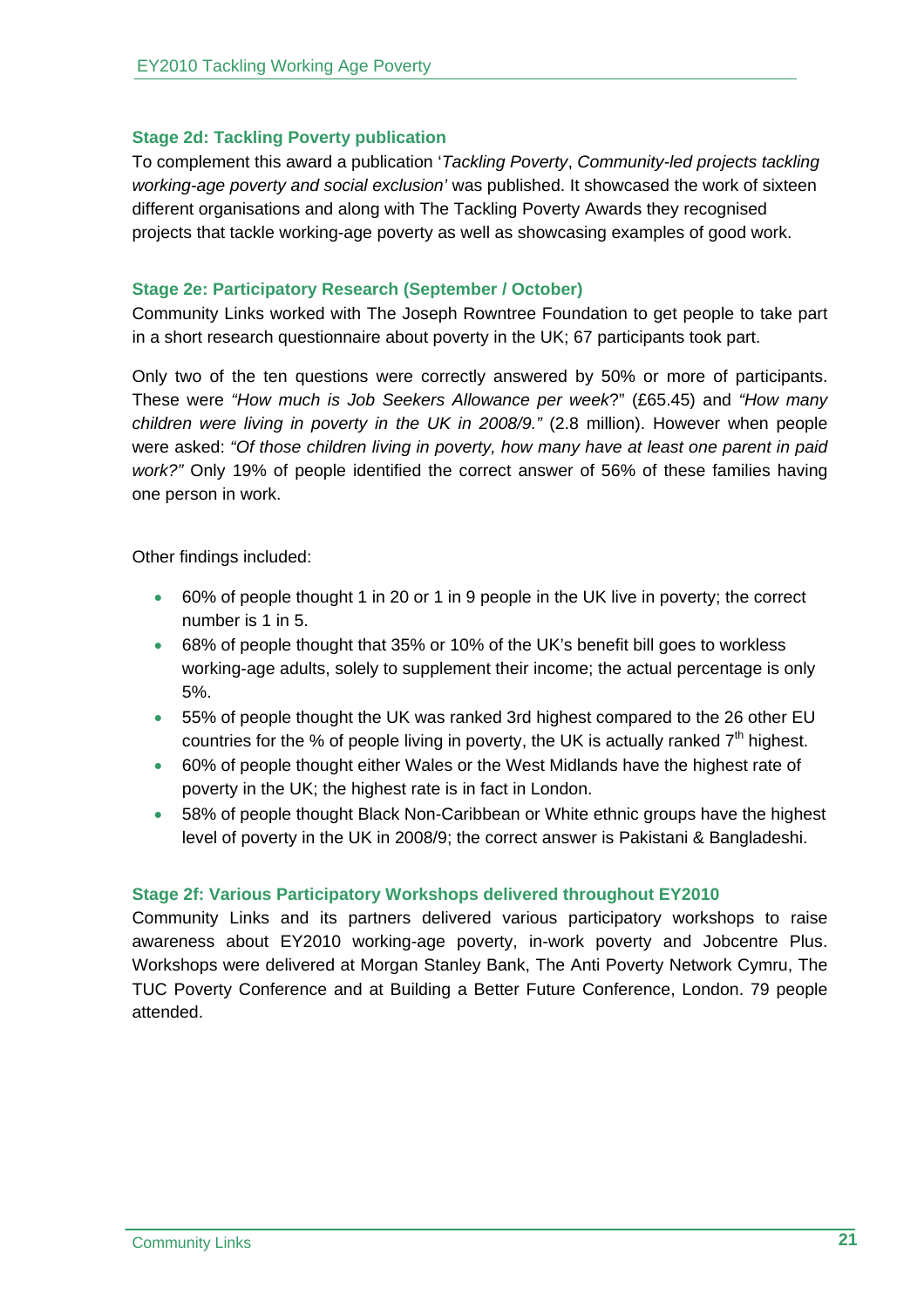#### **Stage 2d: Tackling Poverty publication**

To complement this award a publication '*Tackling Poverty*, *Community-led projects tackling working-age poverty and social exclusion'* was published. It showcased the work of sixteen different organisations and along with The Tackling Poverty Awards they recognised projects that tackle working-age poverty as well as showcasing examples of good work.

#### **Stage 2e: Participatory Research (September / October)**

Community Links worked with The Joseph Rowntree Foundation to get people to take part in a short research questionnaire about poverty in the UK; 67 participants took part.

Only two of the ten questions were correctly answered by 50% or more of participants. These were *"How much is Job Seekers Allowance per week*?" (£65.45) and *"How many children were living in poverty in the UK in 2008/9."* (2.8 million). However when people were asked: *"Of those children living in poverty, how many have at least one parent in paid work?"* Only 19% of people identified the correct answer of 56% of these families having one person in work.

Other findings included:

- 60% of people thought 1 in 20 or 1 in 9 people in the UK live in poverty; the correct number is 1 in 5.
- 68% of people thought that 35% or 10% of the UK's benefit bill goes to workless working-age adults, solely to supplement their income; the actual percentage is only 5%.
- 55% of people thought the UK was ranked 3rd highest compared to the 26 other EU countries for the % of people living in poverty, the UK is actually ranked  $7<sup>th</sup>$  highest.
- 60% of people thought either Wales or the West Midlands have the highest rate of poverty in the UK; the highest rate is in fact in London.
- 58% of people thought Black Non-Caribbean or White ethnic groups have the highest level of poverty in the UK in 2008/9; the correct answer is Pakistani & Bangladeshi.

#### **Stage 2f: Various Participatory Workshops delivered throughout EY2010**

Community Links and its partners delivered various participatory workshops to raise awareness about EY2010 working-age poverty, in-work poverty and Jobcentre Plus. Workshops were delivered at Morgan Stanley Bank, The Anti Poverty Network Cymru, The TUC Poverty Conference and at Building a Better Future Conference, London. 79 people attended.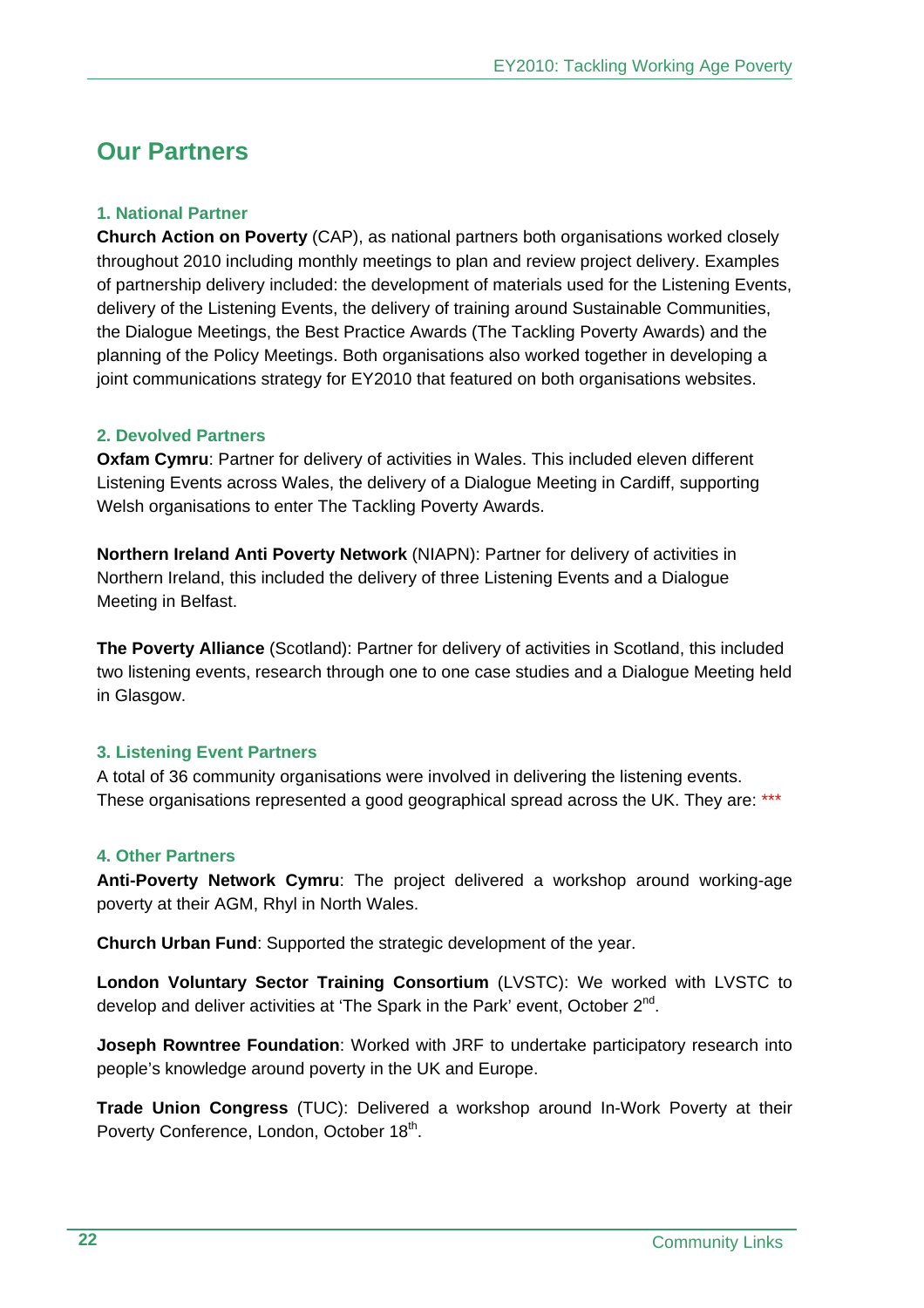# **Our Partners**

# **1. National Partner**

**Church Action on Poverty** (CAP), as national partners both organisations worked closely throughout 2010 including monthly meetings to plan and review project delivery. Examples of partnership delivery included: the development of materials used for the Listening Events, delivery of the Listening Events, the delivery of training around Sustainable Communities, the Dialogue Meetings, the Best Practice Awards (The Tackling Poverty Awards) and the planning of the Policy Meetings. Both organisations also worked together in developing a joint communications strategy for EY2010 that featured on both organisations websites.

#### **2. Devolved Partners**

**Oxfam Cymru**: Partner for delivery of activities in Wales. This included eleven different Listening Events across Wales, the delivery of a Dialogue Meeting in Cardiff, supporting Welsh organisations to enter The Tackling Poverty Awards.

**Northern Ireland Anti Poverty Network** (NIAPN): Partner for delivery of activities in Northern Ireland, this included the delivery of three Listening Events and a Dialogue Meeting in Belfast.

**The Poverty Alliance** (Scotland): Partner for delivery of activities in Scotland, this included two listening events, research through one to one case studies and a Dialogue Meeting held in Glasgow.

# **3. Listening Event Partners**

A total of 36 community organisations were involved in delivering the listening events. These organisations represented a good geographical spread across the UK. They are: \*\*\*

# **4. Other Partners**

**Anti-Poverty Network Cymru**: The project delivered a workshop around working-age poverty at their AGM, Rhyl in North Wales.

**Church Urban Fund**: Supported the strategic development of the year.

**London Voluntary Sector Training Consortium** (LVSTC): We worked with LVSTC to develop and deliver activities at 'The Spark in the Park' event, October  $2^{nd}$ .

**Joseph Rowntree Foundation**: Worked with JRF to undertake participatory research into people's knowledge around poverty in the UK and Europe.

**Trade Union Congress** (TUC): Delivered a workshop around In-Work Poverty at their Poverty Conference, London, October 18<sup>th</sup>.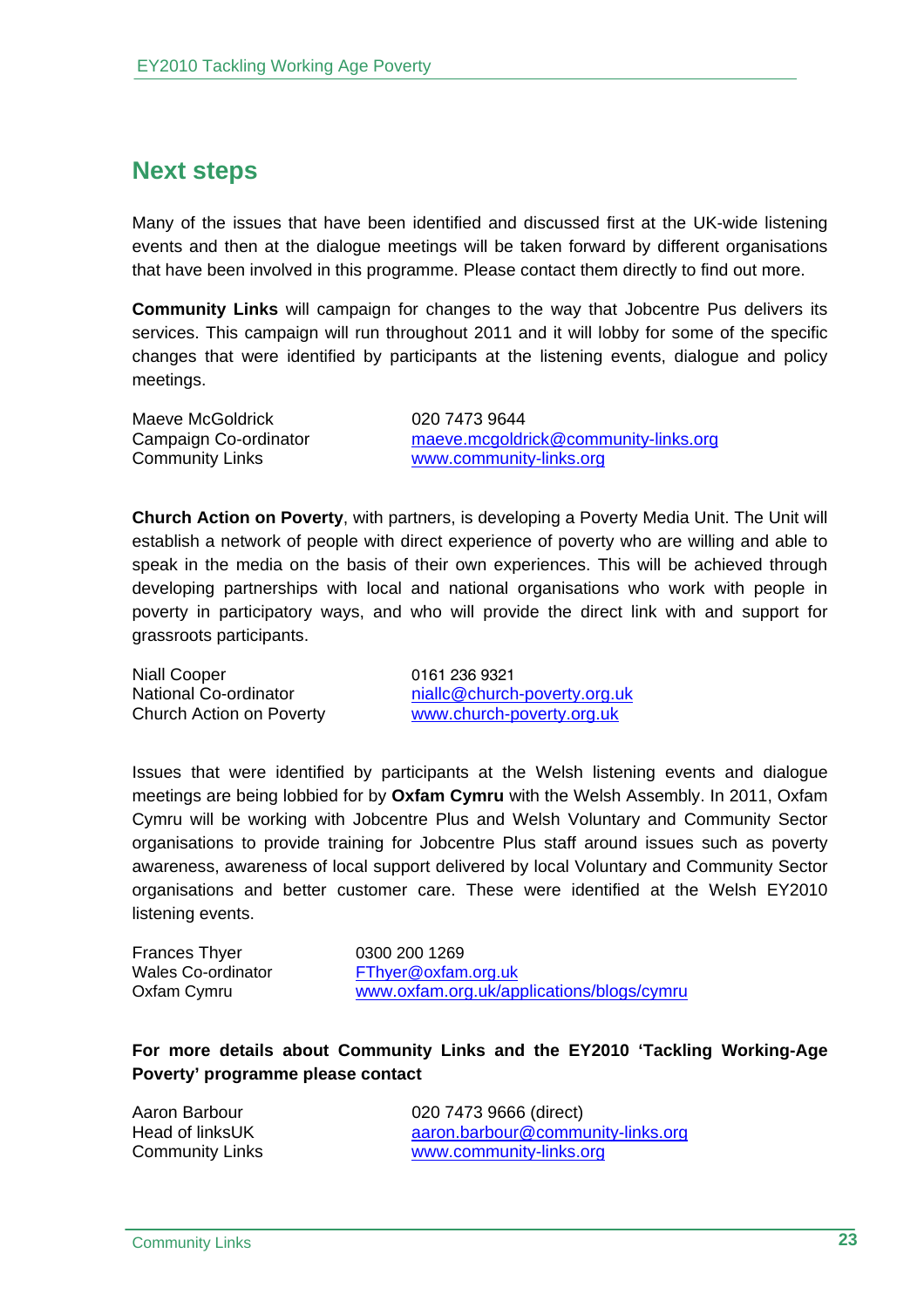# **Next steps**

Many of the issues that have been identified and discussed first at the UK-wide listening events and then at the dialogue meetings will be taken forward by different organisations that have been involved in this programme. Please contact them directly to find out more.

**Community Links** will campaign for changes to the way that Jobcentre Pus delivers its services. This campaign will run throughout 2011 and it will lobby for some of the specific changes that were identified by participants at the listening events, dialogue and policy meetings.

Maeve McGoldrick 020 7473 9644

Campaign Co-ordinator maeve.mcgoldrick@community-links.org Community Links www.community-links.org

**Church Action on Poverty**, with partners, is developing a Poverty Media Unit. The Unit will establish a network of people with direct experience of poverty who are willing and able to speak in the media on the basis of their own experiences. This will be achieved through developing partnerships with local and national organisations who work with people in poverty in participatory ways, and who will provide the direct link with and support for grassroots participants.

Niall Cooper 0161 236 9321

National Co-ordinator https://www.miallc@church-poverty.org.uk Church Action on Poverty www.church-poverty.org.uk

Issues that were identified by participants at the Welsh listening events and dialogue meetings are being lobbied for by **Oxfam Cymru** with the Welsh Assembly. In 2011, Oxfam Cymru will be working with Jobcentre Plus and Welsh Voluntary and Community Sector organisations to provide training for Jobcentre Plus staff around issues such as poverty awareness, awareness of local support delivered by local Voluntary and Community Sector organisations and better customer care. These were identified at the Welsh EY2010 listening events.

Frances Thyer 0300 200 1269

Wales Co-ordinator FThyer@oxfam.org.uk Oxfam Cymru www.oxfam.org.uk/applications/blogs/cymru

**For more details about Community Links and the EY2010 'Tackling Working-Age Poverty' programme please contact** 

Aaron Barbour 020 7473 9666 (direct) Head of linksUK aaron.barbour@community-links.org Community Links www.community-links.org